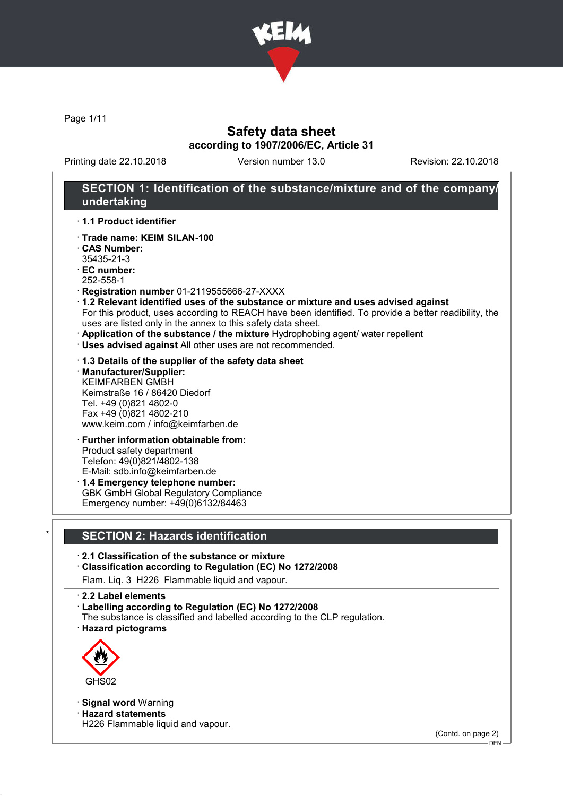

Page 1/11

# Safety data sheet according to 1907/2006/EC, Article 31

Printing date 22.10.2018 Version number 13.0 Revision: 22.10.2018

# SECTION 1: Identification of the substance/mixture and of the company/ undertaking

· 1.1 Product identifier

- · Trade name: KEIM SILAN-100
- · CAS Number: 35435-21-3
- · EC number:
- 252-558-1
- · Registration number 01-2119555666-27-XXXX
- · 1.2 Relevant identified uses of the substance or mixture and uses advised against For this product, uses according to REACH have been identified. To provide a better readibility, the uses are listed only in the annex to this safety data sheet.
- · Application of the substance / the mixture Hydrophobing agent/ water repellent
- · Uses advised against All other uses are not recommended.

· 1.3 Details of the supplier of the safety data sheet

· Manufacturer/Supplier: KEIMFARBEN GMBH Keimstraße 16 / 86420 Diedorf Tel. +49 (0)821 4802-0 Fax +49 (0)821 4802-210 www.keim.com / info@keimfarben.de

#### · Further information obtainable from: Product safety department Telefon: 49(0)821/4802-138 E-Mail: sdb.info@keimfarben.de

· 1.4 Emergency telephone number: GBK GmbH Global Regulatory Compliance Emergency number: +49(0)6132/84463

# **SECTION 2: Hazards identification**

- · 2.1 Classification of the substance or mixture
- · Classification according to Regulation (EC) No 1272/2008
- Flam. Liq. 3 H226 Flammable liquid and vapour.
- · 2.2 Label elements
- · Labelling according to Regulation (EC) No 1272/2008
- The substance is classified and labelled according to the CLP regulation. · Hazard pictograms



· Signal word Warning

· Hazard statements

H226 Flammable liquid and vapour.

(Contd. on page 2)

DEN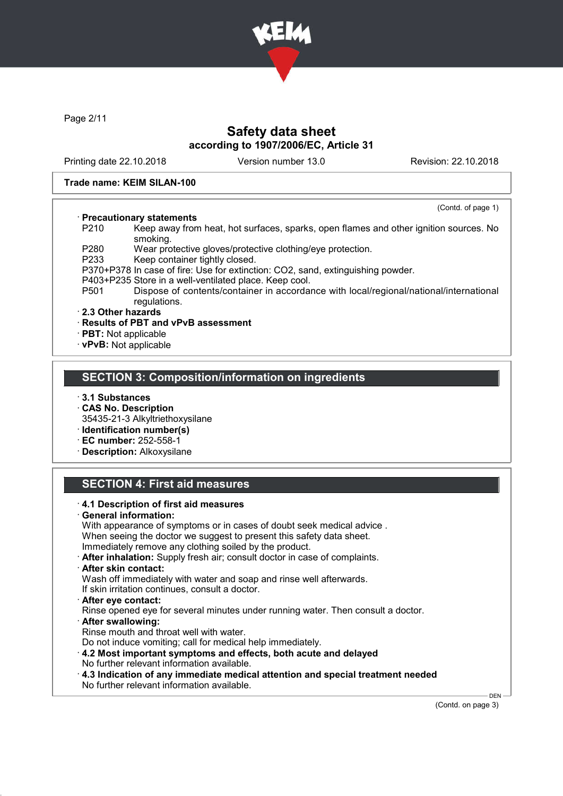

Page 2/11

# Safety data sheet according to 1907/2006/EC, Article 31

Printing date 22.10.2018 Version number 13.0 Revision: 22.10.2018

(Contd. of page 1)

### Trade name: KEIM SILAN-100

### · Precautionary statements

P210 Keep away from heat, hot surfaces, sparks, open flames and other ignition sources. No smoking.

P280 Wear protective gloves/protective clothing/eye protection.

P233 Keep container tightly closed.

P370+P378 In case of fire: Use for extinction: CO2, sand, extinguishing powder.

- P403+P235 Store in a well-ventilated place. Keep cool.
- P501 Dispose of contents/container in accordance with local/regional/national/international regulations.

### · 2.3 Other hazards

- · Results of PBT and vPvB assessment
- · PBT: Not applicable
- · vPvB: Not applicable

### SECTION 3: Composition/information on ingredients

- · 3.1 Substances
- · CAS No. Description
- 35435-21-3 Alkyltriethoxysilane
- · Identification number(s)
- · EC number: 252-558-1
- · Description: Alkoxysilane

### SECTION 4: First aid measures

- · 4.1 Description of first aid measures General information: With appearance of symptoms or in cases of doubt seek medical advice . When seeing the doctor we suggest to present this safety data sheet. Immediately remove any clothing soiled by the product. · After inhalation: Supply fresh air; consult doctor in case of complaints. · After skin contact: Wash off immediately with water and soap and rinse well afterwards. If skin irritation continues, consult a doctor. · After eye contact: Rinse opened eye for several minutes under running water. Then consult a doctor. · After swallowing: Rinse mouth and throat well with water. Do not induce vomiting; call for medical help immediately. · 4.2 Most important symptoms and effects, both acute and delayed No further relevant information available.
	- · 4.3 Indication of any immediate medical attention and special treatment needed No further relevant information available.

(Contd. on page 3)

**DEN**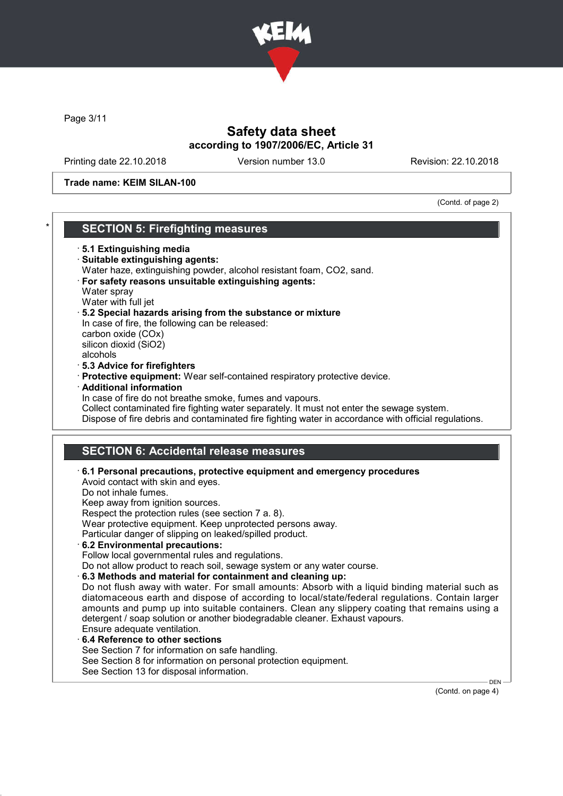

Page 3/11

# Safety data sheet according to 1907/2006/EC, Article 31

Printing date 22.10.2018 Version number 13.0 Revision: 22.10.2018

Trade name: KEIM SILAN-100

(Contd. of page 2)

|          | <b>SECTION 5: Firefighting measures</b>                                                                                                                                                                                                                                                                                                                                                                                                                                                                                                                                                                                                                                                                                                                                                                                                                                                                                                                                   |
|----------|---------------------------------------------------------------------------------------------------------------------------------------------------------------------------------------------------------------------------------------------------------------------------------------------------------------------------------------------------------------------------------------------------------------------------------------------------------------------------------------------------------------------------------------------------------------------------------------------------------------------------------------------------------------------------------------------------------------------------------------------------------------------------------------------------------------------------------------------------------------------------------------------------------------------------------------------------------------------------|
|          | 5.1 Extinguishing media<br>· Suitable extinguishing agents:<br>Water haze, extinguishing powder, alcohol resistant foam, CO2, sand.<br>· For safety reasons unsuitable extinguishing agents:<br>Water spray                                                                                                                                                                                                                                                                                                                                                                                                                                                                                                                                                                                                                                                                                                                                                               |
| alcohols | Water with full jet<br>5.2 Special hazards arising from the substance or mixture<br>In case of fire, the following can be released:<br>carbon oxide (COx)<br>silicon dioxid (SiO2)                                                                                                                                                                                                                                                                                                                                                                                                                                                                                                                                                                                                                                                                                                                                                                                        |
|          | · 5.3 Advice for firefighters<br>· Protective equipment: Wear self-contained respiratory protective device.<br>· Additional information                                                                                                                                                                                                                                                                                                                                                                                                                                                                                                                                                                                                                                                                                                                                                                                                                                   |
|          | In case of fire do not breathe smoke, fumes and vapours.<br>Collect contaminated fire fighting water separately. It must not enter the sewage system.<br>Dispose of fire debris and contaminated fire fighting water in accordance with official regulations.                                                                                                                                                                                                                                                                                                                                                                                                                                                                                                                                                                                                                                                                                                             |
|          | <b>SECTION 6: Accidental release measures</b>                                                                                                                                                                                                                                                                                                                                                                                                                                                                                                                                                                                                                                                                                                                                                                                                                                                                                                                             |
|          | 6.1 Personal precautions, protective equipment and emergency procedures<br>Avoid contact with skin and eyes.<br>Do not inhale fumes.<br>Keep away from ignition sources.<br>Respect the protection rules (see section 7 a. 8).<br>Wear protective equipment. Keep unprotected persons away.<br>Particular danger of slipping on leaked/spilled product.<br>6.2 Environmental precautions:<br>Follow local governmental rules and regulations.<br>Do not allow product to reach soil, sewage system or any water course.<br>6.3 Methods and material for containment and cleaning up:<br>Do not flush away with water. For small amounts: Absorb with a liquid binding material such as<br>diatomaceous earth and dispose of according to local/state/federal regulations. Contain larger<br>amounts and pump up into suitable containers. Clean any slippery coating that remains using a<br>detergent / soap solution or another biodegradable cleaner. Exhaust vapours. |
|          | Ensure adequate ventilation.<br>6.4 Reference to other sections<br>See Section 7 for information on safe handling.<br>See Section 8 for information on personal protection equipment.<br>See Section 13 for disposal information.<br><b>DEN</b>                                                                                                                                                                                                                                                                                                                                                                                                                                                                                                                                                                                                                                                                                                                           |

(Contd. on page 4)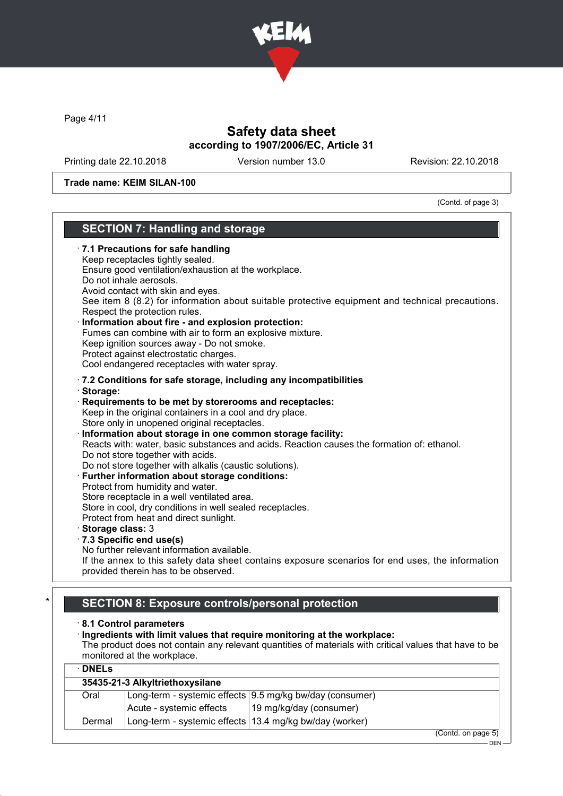

Page 4/11

# Safety data sheet according to 1907/2006/EC, Article 31

Printing date 22.10.2018 Version number 13.0 Revision: 22.10.2018

Trade name: KEIM SILAN-100

(Contd. of page 3)

### SECTION 7: Handling and storage · 7.1 Precautions for safe handling Keep receptacles tightly sealed. Ensure good ventilation/exhaustion at the workplace. Do not inhale aerosols. Avoid contact with skin and eyes. See item 8 (8.2) for information about suitable protective equipment and technical precautions. Respect the protection rules. Information about fire - and explosion protection: Fumes can combine with air to form an explosive mixture. Keep ignition sources away - Do not smoke. Protect against electrostatic charges. Cool endangered receptacles with water spray. · 7.2 Conditions for safe storage, including any incompatibilities · Storage: · Requirements to be met by storerooms and receptacles: Keep in the original containers in a cool and dry place. Store only in unopened original receptacles. Information about storage in one common storage facility: Reacts with: water, basic substances and acids. Reaction causes the formation of: ethanol. Do not store together with acids. Do not store together with alkalis (caustic solutions). · Further information about storage conditions: Protect from humidity and water. Store receptacle in a well ventilated area. Store in cool, dry conditions in well sealed receptacles. Protect from heat and direct sunlight. · Storage class: 3 · 7.3 Specific end use(s) No further relevant information available. If the annex to this safety data sheet contains exposure scenarios for end uses, the information provided therein has to be observed. **SECTION 8: Exposure controls/personal protection** · 8.1 Control parameters · Ingredients with limit values that require monitoring at the workplace:

The product does not contain any relevant quantities of materials with critical values that have to be monitored at the workplace.

| $\cdot$ DNELs |                                                           |                                                            |
|---------------|-----------------------------------------------------------|------------------------------------------------------------|
|               | 35435-21-3 Alkyltriethoxysilane                           |                                                            |
| Oral          |                                                           | Long-term - systemic effects $9.5$ mg/kg bw/day (consumer) |
|               | Acute - systemic effects                                  | 19 mg/kg/day (consumer)                                    |
| Dermal        | Long-term - systemic effects   13.4 mg/kg bw/day (worker) |                                                            |
|               |                                                           |                                                            |

(Contd. on page 5) DEN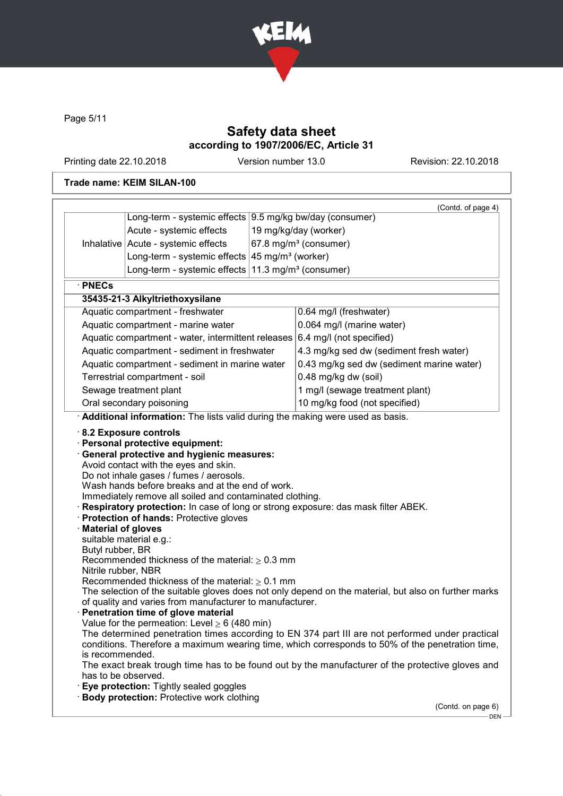

Page 5/11

# Safety data sheet according to 1907/2006/EC, Article 31

Printing date 22.10.2018 Version number 13.0 Revision: 22.10.2018

## Trade name: KEIM SILAN-100

|                                               |                                                                                                                                                                                                              | (Contd. of page 4)                                                                                                                                                                                                                                                                                     |
|-----------------------------------------------|--------------------------------------------------------------------------------------------------------------------------------------------------------------------------------------------------------------|--------------------------------------------------------------------------------------------------------------------------------------------------------------------------------------------------------------------------------------------------------------------------------------------------------|
|                                               | Long-term - systemic effects   9.5 mg/kg bw/day (consumer)                                                                                                                                                   |                                                                                                                                                                                                                                                                                                        |
|                                               | Acute - systemic effects                                                                                                                                                                                     | 19 mg/kg/day (worker)                                                                                                                                                                                                                                                                                  |
|                                               | Inhalative   Acute - systemic effects                                                                                                                                                                        | 67.8 mg/m <sup>3</sup> (consumer)                                                                                                                                                                                                                                                                      |
|                                               | Long-term - systemic effects $45 \text{ mg/m}^3$ (worker)                                                                                                                                                    |                                                                                                                                                                                                                                                                                                        |
|                                               | Long-term - systemic effects $11.3$ mg/m <sup>3</sup> (consumer)                                                                                                                                             |                                                                                                                                                                                                                                                                                                        |
| · PNECs                                       |                                                                                                                                                                                                              |                                                                                                                                                                                                                                                                                                        |
|                                               | 35435-21-3 Alkyltriethoxysilane                                                                                                                                                                              |                                                                                                                                                                                                                                                                                                        |
|                                               | Aquatic compartment - freshwater                                                                                                                                                                             | 0.64 mg/l (freshwater)                                                                                                                                                                                                                                                                                 |
|                                               | Aquatic compartment - marine water                                                                                                                                                                           | 0.064 mg/l (marine water)                                                                                                                                                                                                                                                                              |
|                                               | Aquatic compartment - water, intermittent releases 6.4 mg/l (not specified)                                                                                                                                  |                                                                                                                                                                                                                                                                                                        |
|                                               | Aquatic compartment - sediment in freshwater                                                                                                                                                                 | 4.3 mg/kg sed dw (sediment fresh water)                                                                                                                                                                                                                                                                |
|                                               | Aquatic compartment - sediment in marine water                                                                                                                                                               | 0.43 mg/kg sed dw (sediment marine water)                                                                                                                                                                                                                                                              |
|                                               | Terrestrial compartment - soil                                                                                                                                                                               | 0.48 mg/kg dw (soil)                                                                                                                                                                                                                                                                                   |
|                                               | Sewage treatment plant                                                                                                                                                                                       | 1 mg/l (sewage treatment plant)                                                                                                                                                                                                                                                                        |
|                                               | Oral secondary poisoning                                                                                                                                                                                     | 10 mg/kg food (not specified)                                                                                                                                                                                                                                                                          |
|                                               | Additional information: The lists valid during the making were used as basis.                                                                                                                                |                                                                                                                                                                                                                                                                                                        |
| <b>Material of gloves</b><br>Butyl rubber, BR | Wash hands before breaks and at the end of work.<br>Immediately remove all soiled and contaminated clothing.<br>Protection of hands: Protective gloves<br>suitable material e.g.:                            | Respiratory protection: In case of long or strong exposure: das mask filter ABEK.                                                                                                                                                                                                                      |
|                                               | Recommended thickness of the material: $\geq 0.3$ mm                                                                                                                                                         |                                                                                                                                                                                                                                                                                                        |
| Nitrile rubber, NBR                           |                                                                                                                                                                                                              |                                                                                                                                                                                                                                                                                                        |
|                                               | Recommended thickness of the material: $\geq 0.1$ mm<br>of quality and varies from manufacturer to manufacturer.<br>Penetration time of glove material<br>Value for the permeation: Level $\geq 6$ (480 min) | The selection of the suitable gloves does not only depend on the material, but also on further marks                                                                                                                                                                                                   |
| is recommended.                               |                                                                                                                                                                                                              | The determined penetration times according to EN 374 part III are not performed under practical<br>conditions. Therefore a maximum wearing time, which corresponds to 50% of the penetration time,<br>The exact break trough time has to be found out by the manufacturer of the protective gloves and |
| has to be observed.                           | Eye protection: Tightly sealed goggles                                                                                                                                                                       |                                                                                                                                                                                                                                                                                                        |
|                                               | <b>Body protection: Protective work clothing</b>                                                                                                                                                             |                                                                                                                                                                                                                                                                                                        |
|                                               |                                                                                                                                                                                                              | (Contd. on page 6)                                                                                                                                                                                                                                                                                     |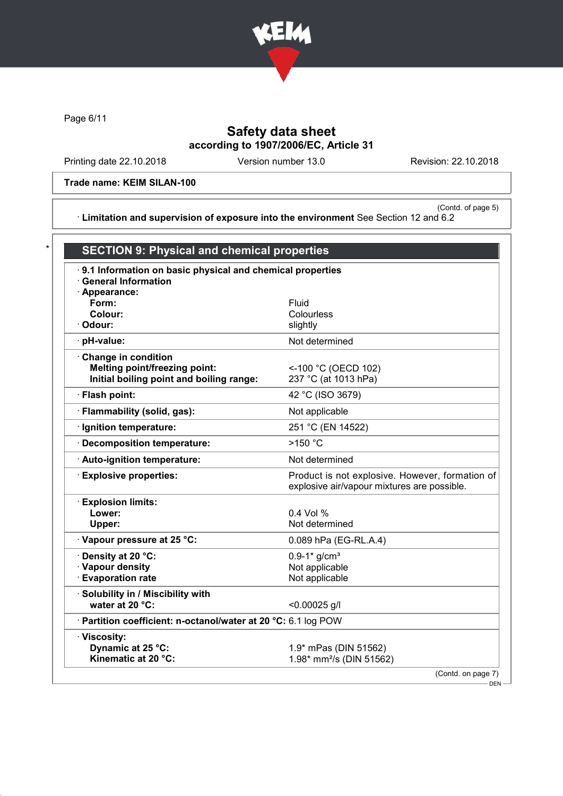

Page 6/11

# Safety data sheet according to 1907/2006/EC, Article 31

Printing date 22.10.2018 Version number 13.0 Revision: 22.10.2018

### Trade name: KEIM SILAN-100

(Contd. of page 5) · Limitation and supervision of exposure into the environment See Section 12 and 6.2

| .9.1 Information on basic physical and chemical properties     |                                                                                                |
|----------------------------------------------------------------|------------------------------------------------------------------------------------------------|
| <b>General Information</b>                                     |                                                                                                |
| · Appearance:<br>Form:                                         | Fluid                                                                                          |
| Colour:                                                        | Colourless                                                                                     |
| · Odour:                                                       | slightly                                                                                       |
| $\cdot$ pH-value:                                              | Not determined                                                                                 |
| Change in condition                                            |                                                                                                |
| Melting point/freezing point:                                  | <-100 °C (OECD 102)                                                                            |
| Initial boiling point and boiling range:                       | 237 °C (at 1013 hPa)                                                                           |
| · Flash point:                                                 | 42 °C (ISO 3679)                                                                               |
| · Flammability (solid, gas):                                   | Not applicable                                                                                 |
| · Ignition temperature:                                        | 251 °C (EN 14522)                                                                              |
| · Decomposition temperature:                                   | $>150$ °C                                                                                      |
| Auto-ignition temperature:                                     | Not determined                                                                                 |
| <b>Explosive properties:</b>                                   | Product is not explosive. However, formation of<br>explosive air/vapour mixtures are possible. |
| <b>Explosion limits:</b>                                       |                                                                                                |
| Lower:                                                         | 0.4 Vol %                                                                                      |
| Upper:                                                         | Not determined                                                                                 |
| · Vapour pressure at 25 °C:                                    | 0.089 hPa (EG-RL.A.4)                                                                          |
| Density at 20 °C:                                              | $0.9 - 1*$ g/cm <sup>3</sup>                                                                   |
| · Vapour density                                               | Not applicable                                                                                 |
| <b>Evaporation rate</b>                                        | Not applicable                                                                                 |
| · Solubility in / Miscibility with                             |                                                                                                |
| water at 20 °C:                                                | $< 0.00025$ g/l                                                                                |
| · Partition coefficient: n-octanol/water at 20 °C: 6.1 log POW |                                                                                                |
| · Viscosity:                                                   |                                                                                                |
| Dynamic at 25 °C:                                              | 1.9* mPas (DIN 51562)                                                                          |
| Kinematic at 20 °C:                                            | 1.98* mm <sup>2</sup> /s (DIN 51562)                                                           |

DEN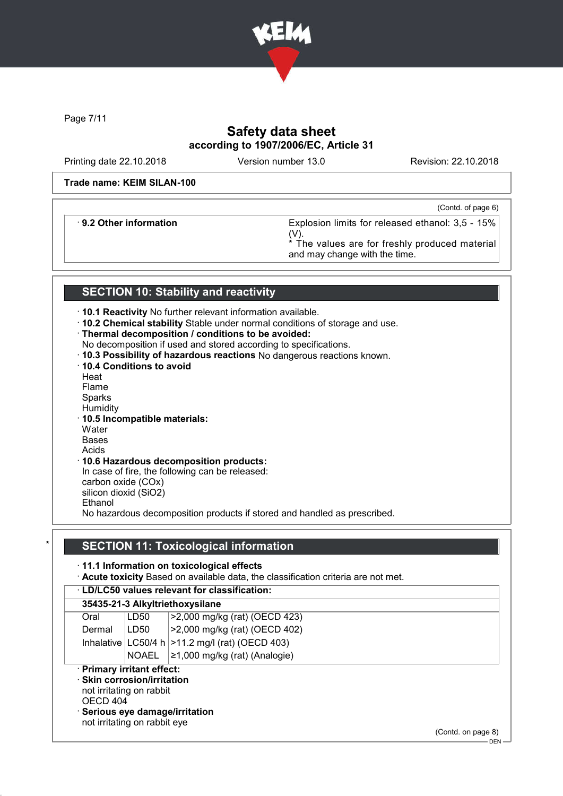

Page 7/11

# Safety data sheet according to 1907/2006/EC, Article 31

Printing date 22.10.2018 Version number 13.0 Revision: 22.10.2018

### Trade name: KEIM SILAN-100

(Contd. of page 6)

· 9.2 Other information Explosion limits for released ethanol: 3,5 - 15% (V).

The values are for freshly produced material and may change with the time.

# SECTION 10: Stability and reactivity

- · 10.1 Reactivity No further relevant information available.
- · 10.2 Chemical stability Stable under normal conditions of storage and use.
- · Thermal decomposition / conditions to be avoided:
- No decomposition if used and stored according to specifications.
- · 10.3 Possibility of hazardous reactions No dangerous reactions known.
- · 10.4 Conditions to avoid
- **Heat**
- Flame
- Sparks
- **Humidity**
- · 10.5 Incompatible materials: **Water**
- Bases
- Acids

### · 10.6 Hazardous decomposition products:

In case of fire, the following can be released: carbon oxide (COx) silicon dioxid (SiO2) Ethanol No hazardous decomposition products if stored and handled as prescribed.

# **SECTION 11: Toxicological information**

# · 11.1 Information on toxicological effects

· Acute toxicity Based on available data, the classification criteria are not met.

| <b>LD/LC50 values relevant for classification:</b> |  |
|----------------------------------------------------|--|
|                                                    |  |

|                                                                           |              | 35435-21-3 AIKVItriethoxysilane                      |
|---------------------------------------------------------------------------|--------------|------------------------------------------------------|
| Oral                                                                      | LD50         | >2,000 mg/kg (rat) (OECD 423)                        |
| Dermal                                                                    | LD50         | >2,000 mg/kg (rat) (OECD 402)                        |
|                                                                           |              | Inhalative $ LC50/4 h  > 11.2 mg/l$ (rat) (OECD 403) |
|                                                                           | <b>NOAEL</b> | $\ge$ 1,000 mg/kg (rat) (Analogie)                   |
| · Primary irritant effect:                                                |              |                                                      |
| $\cdot$ Skin corrosion/irritation<br>not irritating on rabbit<br>OECD 404 |              |                                                      |
| not irritating on rabbit eye                                              |              | · Serious eye damage/irritation<br>(Contedonona 8)   |

(Contd. on page 8)

 $-$  DEN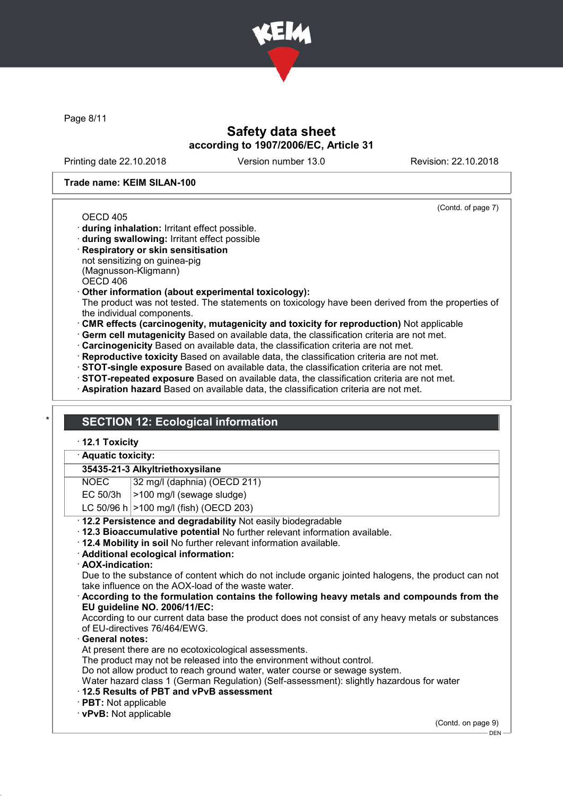

Page 8/11

# Safety data sheet according to 1907/2006/EC, Article 31

Printing date 22.10.2018 Version number 13.0 Revision: 22.10.2018

(Contd. of page 7)

### Trade name: KEIM SILAN-100

#### OECD 405

- · during inhalation: Irritant effect possible.
- · during swallowing: Irritant effect possible
- · Respiratory or skin sensitisation not sensitizing on guinea-pig (Magnusson-Kligmann) OECD 406
- · Other information (about experimental toxicology):

The product was not tested. The statements on toxicology have been derived from the properties of the individual components.

· CMR effects (carcinogenity, mutagenicity and toxicity for reproduction) Not applicable

· Germ cell mutagenicity Based on available data, the classification criteria are not met.

- · Carcinogenicity Based on available data, the classification criteria are not met.
- · Reproductive toxicity Based on available data, the classification criteria are not met.
- · STOT-single exposure Based on available data, the classification criteria are not met.
- · STOT-repeated exposure Based on available data, the classification criteria are not met.
- · Aspiration hazard Based on available data, the classification criteria are not met.

### **SECTION 12: Ecological information**

### · 12.1 Toxicity

### · Aquatic toxicity:

### 35435-21-3 Alkyltriethoxysilane

NOEC 32 mg/l (daphnia) (OECD 211)

- EC 50/3h  $\vert$  >100 mg/l (sewage sludge)
- LC 50/96 h  $|>100$  mg/l (fish) (OECD 203)
- · 12.2 Persistence and degradability Not easily biodegradable
- · 12.3 Bioaccumulative potential No further relevant information available.
- · 12.4 Mobility in soil No further relevant information available.
- · Additional ecological information:
- · AOX-indication:

Due to the substance of content which do not include organic jointed halogens, the product can not take influence on the AOX-load of the waste water.

· According to the formulation contains the following heavy metals and compounds from the EU guideline NO. 2006/11/EC:

According to our current data base the product does not consist of any heavy metals or substances of EU-directives 76/464/EWG.

General notes:

At present there are no ecotoxicological assessments.

The product may not be released into the environment without control.

Do not allow product to reach ground water, water course or sewage system.

Water hazard class 1 (German Regulation) (Self-assessment): slightly hazardous for water

- · 12.5 Results of PBT and vPvB assessment
- · PBT: Not applicable

· vPvB: Not applicable

(Contd. on page 9)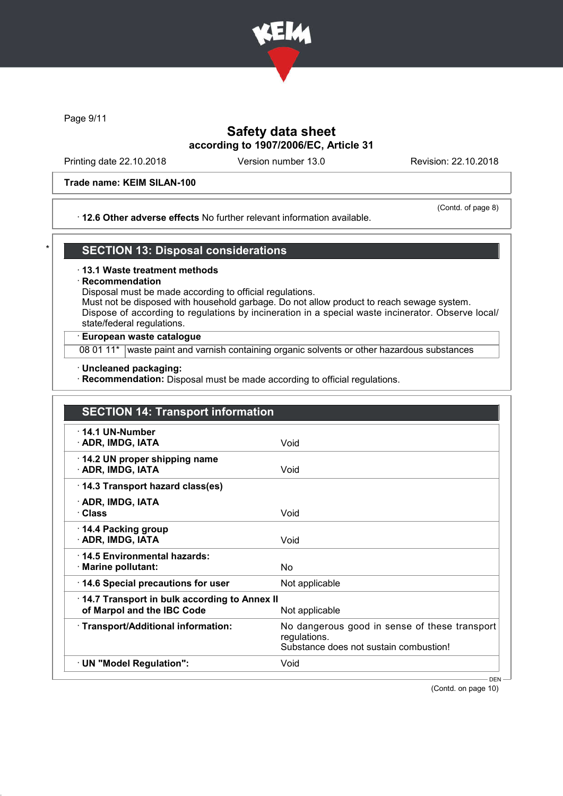

Page 9/11

# Safety data sheet according to 1907/2006/EC, Article 31

Printing date 22.10.2018 Version number 13.0 Revision: 22.10.2018

### Trade name: KEIM SILAN-100

### · 12.6 Other adverse effects No further relevant information available.

(Contd. of page 8)

## **SECTION 13: Disposal considerations**

### · 13.1 Waste treatment methods

### **Recommendation**

Disposal must be made according to official regulations.

Must not be disposed with household garbage. Do not allow product to reach sewage system. Dispose of according to regulations by incineration in a special waste incinerator. Observe local/ state/federal regulations.

### · European waste catalogue

08 01 11\* waste paint and varnish containing organic solvents or other hazardous substances

### · Uncleaned packaging:

· Recommendation: Disposal must be made according to official regulations.

| <b>SECTION 14: Transport information</b>                                   |                                                                                                         |
|----------------------------------------------------------------------------|---------------------------------------------------------------------------------------------------------|
| $\cdot$ 14.1 UN-Number<br>· ADR, IMDG, IATA                                | Void                                                                                                    |
| 14.2 UN proper shipping name<br>· ADR, IMDG, IATA                          | Void                                                                                                    |
| 14.3 Transport hazard class(es)                                            |                                                                                                         |
| · ADR, IMDG, IATA<br>· Class                                               | Void                                                                                                    |
| ⋅ 14.4 Packing group<br>· ADR, IMDG, IATA                                  | Void                                                                                                    |
| 14.5 Environmental hazards:<br>· Marine pollutant:                         | No                                                                                                      |
| 14.6 Special precautions for user                                          | Not applicable                                                                                          |
| 14.7 Transport in bulk according to Annex II<br>of Marpol and the IBC Code | Not applicable                                                                                          |
| · Transport/Additional information:                                        | No dangerous good in sense of these transport<br>regulations.<br>Substance does not sustain combustion! |
| · UN "Model Regulation":                                                   | Void                                                                                                    |

(Contd. on page 10)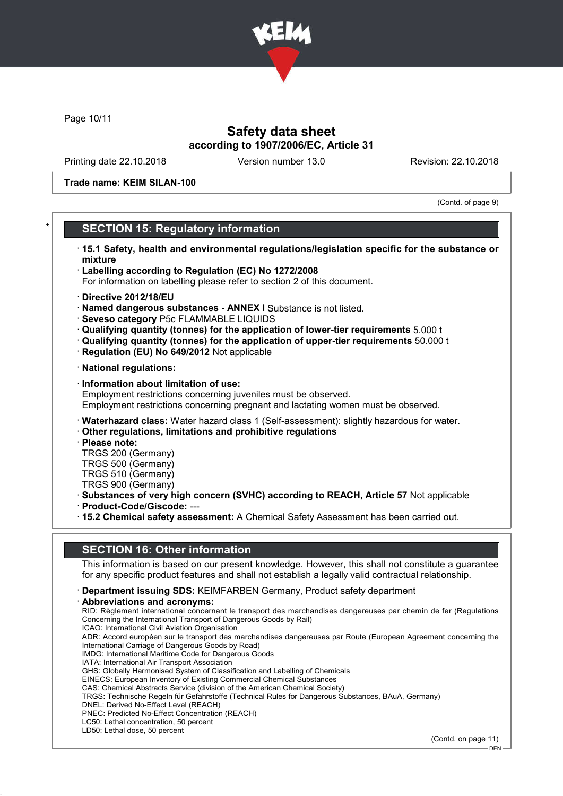

Page 10/11

# Safety data sheet according to 1907/2006/EC, Article 31

Printing date 22.10.2018 Version number 13.0 Revision: 22.10.2018

Trade name: KEIM SILAN-100

(Contd. of page 9)

## **SECTION 15: Regulatory information**

- · 15.1 Safety, health and environmental regulations/legislation specific for the substance or mixture
- · Labelling according to Regulation (EC) No 1272/2008
- For information on labelling please refer to section 2 of this document.
- · Directive 2012/18/EU
- · Named dangerous substances ANNEX I Substance is not listed.
- · Seveso category P5c FLAMMABLE LIQUIDS
- · Qualifying quantity (tonnes) for the application of lower-tier requirements 5.000 t
- · Qualifying quantity (tonnes) for the application of upper-tier requirements 50.000 t
- · Regulation (EU) No 649/2012 Not applicable
- · National regulations:
- · Information about limitation of use: Employment restrictions concerning juveniles must be observed. Employment restrictions concerning pregnant and lactating women must be observed.
- · Waterhazard class: Water hazard class 1 (Self-assessment): slightly hazardous for water.
- · Other regulations, limitations and prohibitive regulations
- · Please note:
- TRGS 200 (Germany) TRGS 500 (Germany) TRGS 510 (Germany)
- TRGS 900 (Germany)
- · Substances of very high concern (SVHC) according to REACH, Article 57 Not applicable
- · Product-Code/Giscode: ---
- · 15.2 Chemical safety assessment: A Chemical Safety Assessment has been carried out.

## SECTION 16: Other information

This information is based on our present knowledge. However, this shall not constitute a guarantee for any specific product features and shall not establish a legally valid contractual relationship.

- · Department issuing SDS: KEIMFARBEN Germany, Product safety department
- · Abbreviations and acronyms:

RID: Règlement international concernant le transport des marchandises dangereuses par chemin de fer (Regulations Concerning the International Transport of Dangerous Goods by Rail) ICAO: International Civil Aviation Organisation ADR: Accord européen sur le transport des marchandises dangereuses par Route (European Agreement concerning the International Carriage of Dangerous Goods by Road) IMDG: International Maritime Code for Dangerous Goods IATA: International Air Transport Association GHS: Globally Harmonised System of Classification and Labelling of Chemicals EINECS: European Inventory of Existing Commercial Chemical Substances CAS: Chemical Abstracts Service (division of the American Chemical Society) TRGS: Technische Regeln für Gefahrstoffe (Technical Rules for Dangerous Substances, BAuA, Germany) DNEL: Derived No-Effect Level (REACH) PNEC: Predicted No-Effect Concentration (REACH) LC50: Lethal concentration, 50 percent LD50: Lethal dose, 50 percent

(Contd. on page 11)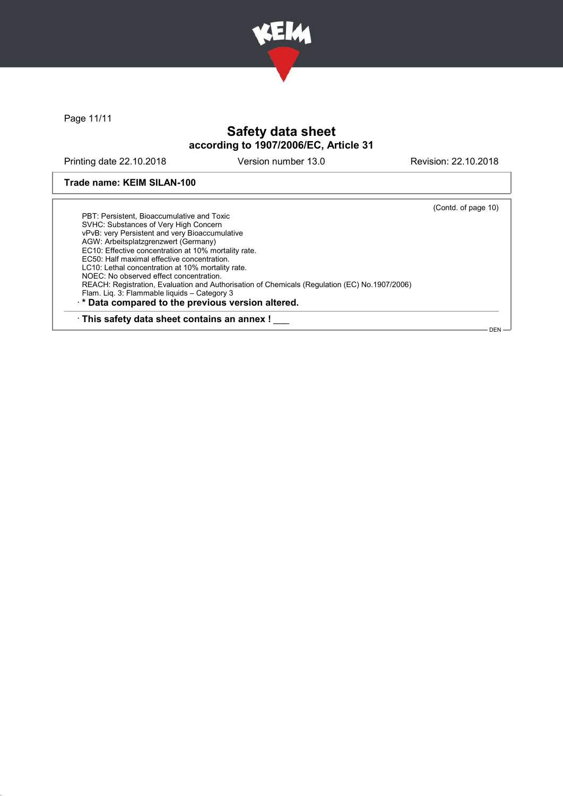

Page 11/11

# Safety data sheet according to 1907/2006/EC, Article 31

Printing date 22.10.2018 Version number 13.0 Revision: 22.10.2018

Trade name: KEIM SILAN-100

(Contd. of page 10) PBT: Persistent, Bioaccumulative and Toxic SVHC: Substances of Very High Concern vPvB: very Persistent and very Bioaccumulative AGW: Arbeitsplatzgrenzwert (Germany) EC10: Effective concentration at 10% mortality rate. EC50: Half maximal effective concentration. LC10: Lethal concentration at 10% mortality rate. NOEC: No observed effect concentration. REACH: Registration, Evaluation and Authorisation of Chemicals (Regulation (EC) No.1907/2006) Flam. Liq. 3: Flammable liquids – Category 3 · \* Data compared to the previous version altered. · This safety data sheet contains an annex ! DEN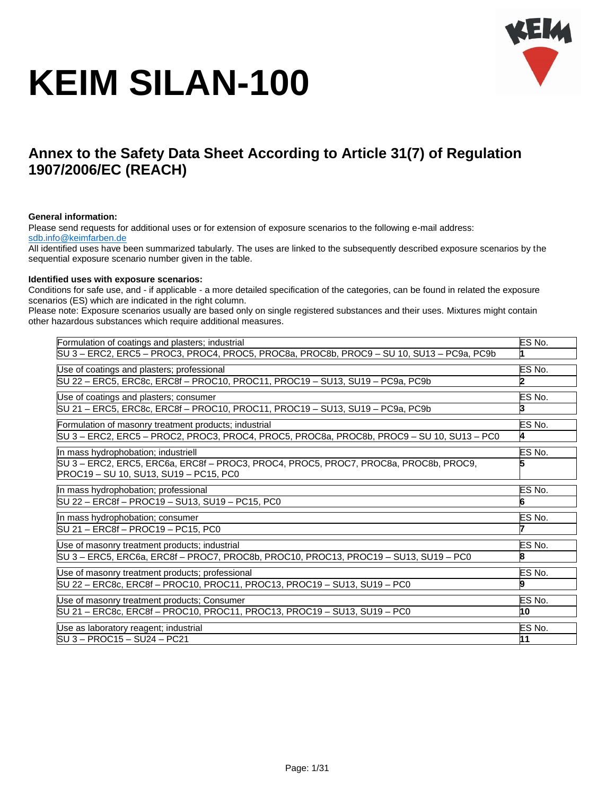

# **Annex to the Safety Data Sheet According to Article 31(7) of Regulation 1907/2006/EC (REACH)**

#### **General information:**

Please send requests for additional uses or for extension of exposure scenarios to the following e-mail address: [sdb.info@keimfarben.de](mailto:sdb.info@keimfarben.de)

All identified uses have been summarized tabularly. The uses are linked to the subsequently described exposure scenarios by the sequential exposure scenario number given in the table.

#### **Identified uses with exposure scenarios:**

Conditions for safe use, and - if applicable - a more detailed specification of the categories, can be found in related the exposure scenarios (ES) which are indicated in the right column.

Please note: Exposure scenarios usually are based only on single registered substances and their uses. Mixtures might contain other hazardous substances which require additional measures.

| Formulation of coatings and plasters; industrial                                                                               | ES No. |
|--------------------------------------------------------------------------------------------------------------------------------|--------|
| SU 3 - ERC2, ERC5 - PROC3, PROC4, PROC5, PROC8a, PROC8b, PROC9 - SU 10, SU13 - PC9a, PC9b                                      | 1      |
| Use of coatings and plasters; professional                                                                                     | ES No. |
| SU 22 - ERC5, ERC8c, ERC8f - PROC10, PROC11, PROC19 - SU13, SU19 - PC9a, PC9b                                                  | 2      |
| Use of coatings and plasters; consumer                                                                                         | ES No. |
| SU 21 - ERC5, ERC8c, ERC8f - PROC10, PROC11, PROC19 - SU13, SU19 - PC9a, PC9b                                                  | 3      |
| Formulation of masonry treatment products; industrial                                                                          | ES No. |
| SU 3 – ERC2, ERC5 – PROC2, PROC3, PROC4, PROC5, PROC8a, PROC8b, PROC9 – SU 10, SU13 – PC0                                      | 4      |
| In mass hydrophobation; industriell                                                                                            | ES No. |
| SU 3 - ERC2, ERC5, ERC6a, ERC8f - PROC3, PROC4, PROC5, PROC7, PROC8a, PROC8b, PROC9,<br>PROC19 - SU 10, SU13, SU19 - PC15, PC0 |        |
| In mass hydrophobation; professional                                                                                           | ES No. |
| SU 22 - ERC8f - PROC19 - SU13, SU19 - PC15, PC0                                                                                | 6      |
| In mass hydrophobation; consumer                                                                                               | ES No. |
| SU 21 - ERC8f - PROC19 - PC15, PC0                                                                                             | 7      |
| Use of masonry treatment products; industrial                                                                                  | ES No. |
| SU 3 - ERC5, ERC6a, ERC8f - PROC7, PROC8b, PROC10, PROC13, PROC19 - SU13, SU19 - PC0                                           | 8      |
| Use of masonry treatment products; professional                                                                                | ES No. |
| SU 22 - ERC8c, ERC8f - PROC10, PROC11, PROC13, PROC19 - SU13, SU19 - PC0                                                       | 9      |
| Use of masonry treatment products; Consumer                                                                                    | ES No. |
| SU 21 - ERC8c, ERC8f - PROC10, PROC11, PROC13, PROC19 - SU13, SU19 - PC0                                                       | 10     |
| Use as laboratory reagent; industrial                                                                                          | ES No. |
| SU 3 - PROC15 - SU24 - PC21                                                                                                    | 11     |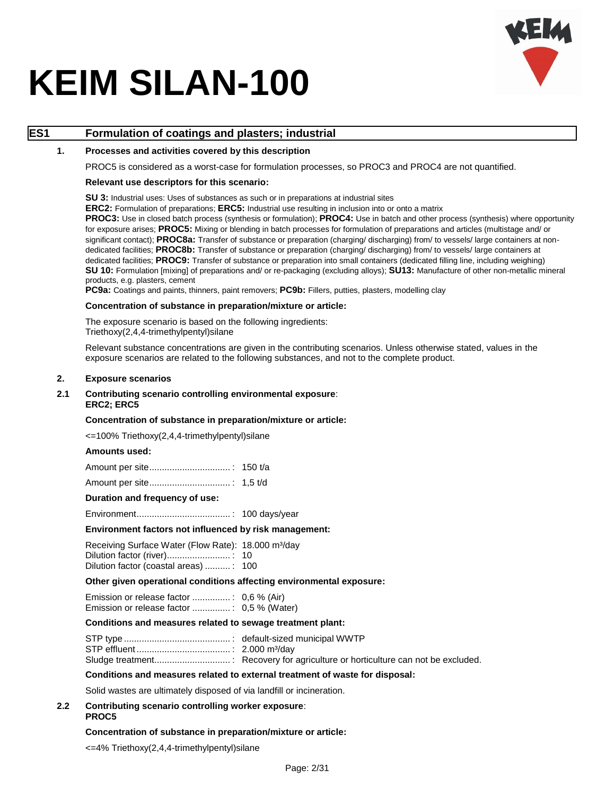

### **ES1 Formulation of coatings and plasters; industrial**

#### **1. Processes and activities covered by this description**

PROC5 is considered as a worst-case for formulation processes, so PROC3 and PROC4 are not quantified.

#### **Relevant use descriptors for this scenario:**

**SU 3:** Industrial uses: Uses of substances as such or in preparations at industrial sites

**ERC2:** Formulation of preparations; **ERC5:** Industrial use resulting in inclusion into or onto a matrix

**PROC3:** Use in closed batch process (synthesis or formulation); **PROC4:** Use in batch and other process (synthesis) where opportunity for exposure arises; **PROC5:** Mixing or blending in batch processes for formulation of preparations and articles (multistage and/ or significant contact); **PROC8a:** Transfer of substance or preparation (charging/ discharging) from/ to vessels/ large containers at nondedicated facilities; **PROC8b:** Transfer of substance or preparation (charging/ discharging) from/ to vessels/ large containers at dedicated facilities; **PROC9:** Transfer of substance or preparation into small containers (dedicated filling line, including weighing) **SU 10:** Formulation [mixing] of preparations and/ or re-packaging (excluding alloys); **SU13:** Manufacture of other non-metallic mineral products, e.g. plasters, cement

**PC9a:** Coatings and paints, thinners, paint removers; **PC9b:** Fillers, putties, plasters, modelling clay

#### **Concentration of substance in preparation/mixture or article:**

The exposure scenario is based on the following ingredients: Triethoxy(2,4,4-trimethylpentyl)silane

Relevant substance concentrations are given in the contributing scenarios. Unless otherwise stated, values in the exposure scenarios are related to the following substances, and not to the complete product.

#### **2. Exposure scenarios**

#### **2.1 Contributing scenario controlling environmental exposure**: **ERC2; ERC5**

#### **Concentration of substance in preparation/mixture or article:**

<=100% Triethoxy(2,4,4-trimethylpentyl)silane

#### **Amounts used:**

#### **Duration and frequency of use:**

Environment..................................... : 100 days/year

#### **Environment factors not influenced by risk management:**

Receiving Surface Water (Flow Rate): 18.000 m<sup>3</sup>/day Dilution factor (river)......................... : 10 Dilution factor (coastal areas) .......... : 100

#### **Other given operational conditions affecting environmental exposure:**

Emission or release factor ............... : 0,6 % (Air) Emission or release factor ............... : 0,5 % (Water)

#### **Conditions and measures related to sewage treatment plant:**

#### **Conditions and measures related to external treatment of waste for disposal:**

Solid wastes are ultimately disposed of via landfill or incineration.

#### **2.2 Contributing scenario controlling worker exposure**: **PROC5**

#### **Concentration of substance in preparation/mixture or article:**

<=4% Triethoxy(2,4,4-trimethylpentyl)silane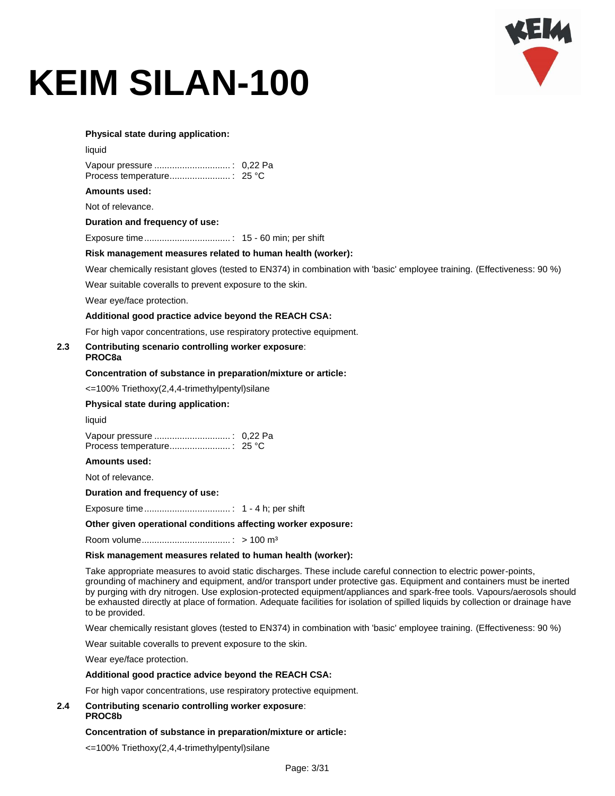

#### **Physical state during application:**

| × |
|---|

#### **Amounts used:**

Not of relevance.

**Duration and frequency of use:**

Exposure time.................................. : 15 - 60 min; per shift

#### **Risk management measures related to human health (worker):**

Wear chemically resistant gloves (tested to EN374) in combination with 'basic' employee training. (Effectiveness: 90 %)

Wear suitable coveralls to prevent exposure to the skin.

Wear eye/face protection.

#### **Additional good practice advice beyond the REACH CSA:**

For high vapor concentrations, use respiratory protective equipment.

#### **2.3 Contributing scenario controlling worker exposure**: **PROC8a**

#### **Concentration of substance in preparation/mixture or article:**

<=100% Triethoxy(2,4,4-trimethylpentyl)silane

#### **Physical state during application:**

liquid

**Amounts used:**

Not of relevance.

**Duration and frequency of use:**

Exposure time.................................. : 1 - 4 h; per shift

#### **Other given operational conditions affecting worker exposure:**

Room volume................................... : > 100 m³

#### **Risk management measures related to human health (worker):**

Take appropriate measures to avoid static discharges. These include careful connection to electric power-points, grounding of machinery and equipment, and/or transport under protective gas. Equipment and containers must be inerted by purging with dry nitrogen. Use explosion-protected equipment/appliances and spark-free tools. Vapours/aerosols should be exhausted directly at place of formation. Adequate facilities for isolation of spilled liquids by collection or drainage have to be provided.

Wear chemically resistant gloves (tested to EN374) in combination with 'basic' employee training. (Effectiveness: 90 %)

Wear suitable coveralls to prevent exposure to the skin.

Wear eye/face protection.

#### **Additional good practice advice beyond the REACH CSA:**

For high vapor concentrations, use respiratory protective equipment.

#### **2.4 Contributing scenario controlling worker exposure**: **PROC8b**

#### **Concentration of substance in preparation/mixture or article:**

<=100% Triethoxy(2,4,4-trimethylpentyl)silane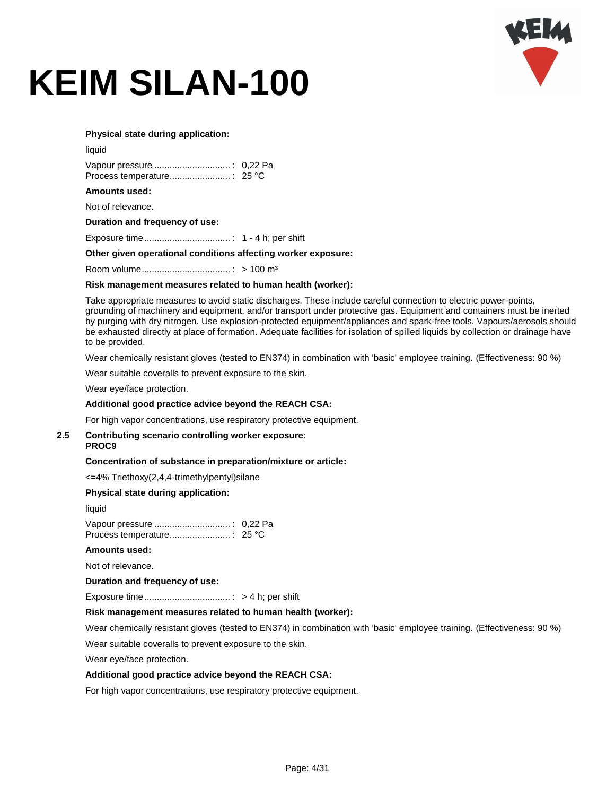

#### **Physical state during application:**

| liquid |  |
|--------|--|
|        |  |
|        |  |

#### **Amounts used:**

Not of relevance.

**Duration and frequency of use:**

Exposure time.................................. : 1 - 4 h; per shift

#### **Other given operational conditions affecting worker exposure:**

Room volume................................... : > 100 m³

#### **Risk management measures related to human health (worker):**

Take appropriate measures to avoid static discharges. These include careful connection to electric power-points, grounding of machinery and equipment, and/or transport under protective gas. Equipment and containers must be inerted by purging with dry nitrogen. Use explosion-protected equipment/appliances and spark-free tools. Vapours/aerosols should be exhausted directly at place of formation. Adequate facilities for isolation of spilled liquids by collection or drainage have to be provided.

Wear chemically resistant gloves (tested to EN374) in combination with 'basic' employee training. (Effectiveness: 90 %)

Wear suitable coveralls to prevent exposure to the skin.

Wear eye/face protection.

#### **Additional good practice advice beyond the REACH CSA:**

For high vapor concentrations, use respiratory protective equipment.

#### **2.5 Contributing scenario controlling worker exposure**: **PROC9**

# **Concentration of substance in preparation/mixture or article:**

<=4% Triethoxy(2,4,4-trimethylpentyl)silane

#### **Physical state during application:**

liquid

Vapour pressure .............................. : 0,22 Pa Process temperature........................ : 25 °C

#### **Amounts used:**

Not of relevance.

#### **Duration and frequency of use:**

Exposure time.................................. : > 4 h; per shift

#### **Risk management measures related to human health (worker):**

Wear chemically resistant gloves (tested to EN374) in combination with 'basic' employee training. (Effectiveness: 90 %)

Wear suitable coveralls to prevent exposure to the skin.

Wear eye/face protection.

#### **Additional good practice advice beyond the REACH CSA:**

For high vapor concentrations, use respiratory protective equipment.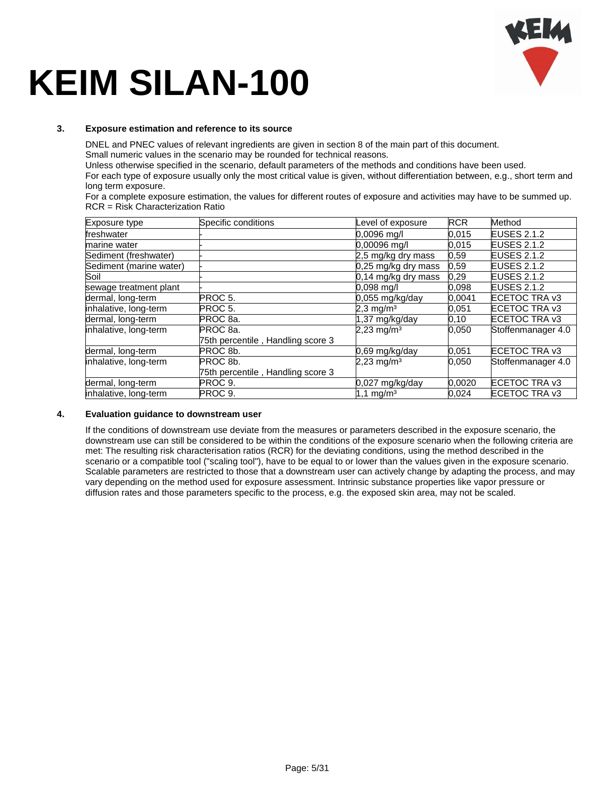

#### **3. Exposure estimation and reference to its source**

DNEL and PNEC values of relevant ingredients are given in section 8 of the main part of this document.

Small numeric values in the scenario may be rounded for technical reasons.

Unless otherwise specified in the scenario, default parameters of the methods and conditions have been used.

For each type of exposure usually only the most critical value is given, without differentiation between, e.g., short term and long term exposure.

For a complete exposure estimation, the values for different routes of exposure and activities may have to be summed up. RCR = Risk Characterization Ratio

| Exposure type           | Specific conditions               | Level of exposure        | <b>RCR</b> | Method             |
|-------------------------|-----------------------------------|--------------------------|------------|--------------------|
| freshwater              |                                   | 0.0096 ma/l              | 0.015      | <b>EUSES 2.1.2</b> |
| marine water            |                                   | 0,00096 mg/l             | 0.015      | <b>EUSES 2.1.2</b> |
| Sediment (freshwater)   |                                   | 2,5 mg/kg dry mass       | 0,59       | <b>EUSES 2.1.2</b> |
| Sediment (marine water) |                                   | $0,25$ mg/kg dry mass    | 0,59       | <b>EUSES 2.1.2</b> |
| Soil                    |                                   | 0,14 mg/kg dry mass      | 0.29       | <b>EUSES 2.1.2</b> |
| sewage treatment plant  |                                   | $0.098$ mg/l             | 0,098      | <b>EUSES 2.1.2</b> |
| dermal, long-term       | PROC 5.                           | $0.055$ mg/kg/day        | 0.0041     | ECETOC TRA v3      |
| inhalative, long-term   | PROC 5.                           | $2.3 \,\mathrm{mg/m^3}$  | 0,051      | ECETOC TRA v3      |
| dermal, long-term       | PROC 8a.                          | $1,37$ mg/kg/day         | 0, 10      | ECETOC TRA v3      |
| inhalative, long-term   | PROC <sub>8a</sub>                | $2,23$ mg/m <sup>3</sup> | 0,050      | Stoffenmanager 4.0 |
|                         | 75th percentile, Handling score 3 |                          |            |                    |
| dermal, long-term       | PROC 8b.                          | 0,69 mg/kg/day           | 0,051      | ECETOC TRA v3      |
| inhalative, long-term   | PROC 8b.                          | $2,23$ mg/m <sup>3</sup> | 0.050      | Stoffenmanager 4.0 |
|                         | 75th percentile, Handling score 3 |                          |            |                    |
| dermal, long-term       | PROC 9.                           | 0,027 mg/kg/day          | 0.0020     | ECETOC TRA v3      |
| inhalative, long-term   | PROC 9.                           | $1,1 \text{ mg/m}^3$     | 0,024      | ECETOC TRA v3      |

#### **4. Evaluation guidance to downstream user**

If the conditions of downstream use deviate from the measures or parameters described in the exposure scenario, the downstream use can still be considered to be within the conditions of the exposure scenario when the following criteria are met: The resulting risk characterisation ratios (RCR) for the deviating conditions, using the method described in the scenario or a compatible tool ("scaling tool"), have to be equal to or lower than the values given in the exposure scenario. Scalable parameters are restricted to those that a downstream user can actively change by adapting the process, and may vary depending on the method used for exposure assessment. Intrinsic substance properties like vapor pressure or diffusion rates and those parameters specific to the process, e.g. the exposed skin area, may not be scaled.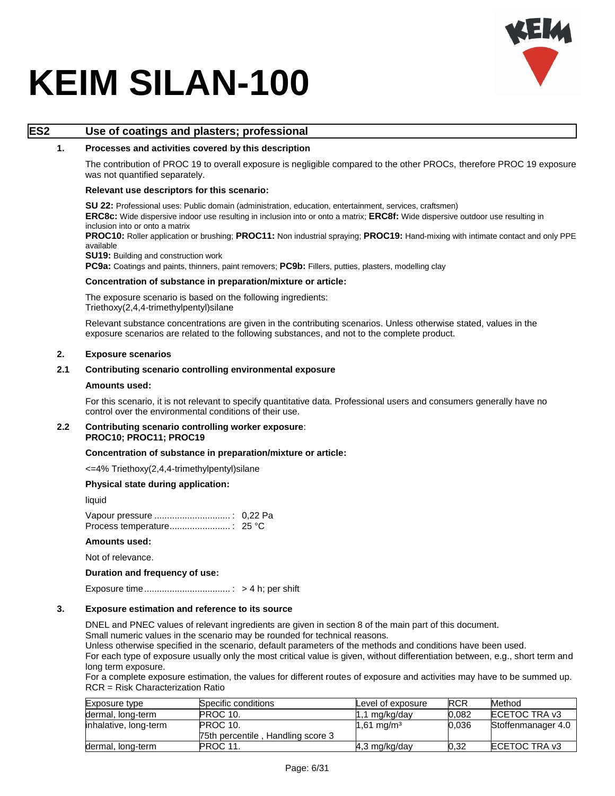

### **ES2 Use of coatings and plasters; professional**

#### **1. Processes and activities covered by this description**

The contribution of PROC 19 to overall exposure is negligible compared to the other PROCs, therefore PROC 19 exposure was not quantified separately.

#### **Relevant use descriptors for this scenario:**

**SU 22:** Professional uses: Public domain (administration, education, entertainment, services, craftsmen) **ERC8c:** Wide dispersive indoor use resulting in inclusion into or onto a matrix; **ERC8f:** Wide dispersive outdoor use resulting in inclusion into or onto a matrix

**PROC10:** Roller application or brushing; **PROC11:** Non industrial spraying; **PROC19:** Hand-mixing with intimate contact and only PPE available

**SU19: Building and construction work** 

**PC9a:** Coatings and paints, thinners, paint removers; **PC9b:** Fillers, putties, plasters, modelling clay

#### **Concentration of substance in preparation/mixture or article:**

The exposure scenario is based on the following ingredients: Triethoxy(2,4,4-trimethylpentyl)silane

Relevant substance concentrations are given in the contributing scenarios. Unless otherwise stated, values in the exposure scenarios are related to the following substances, and not to the complete product.

#### **2. Exposure scenarios**

#### **2.1 Contributing scenario controlling environmental exposure**

#### **Amounts used:**

For this scenario, it is not relevant to specify quantitative data. Professional users and consumers generally have no control over the environmental conditions of their use.

#### **2.2 Contributing scenario controlling worker exposure**: **PROC10; PROC11; PROC19**

#### **Concentration of substance in preparation/mixture or article:**

<=4% Triethoxy(2,4,4-trimethylpentyl)silane

#### **Physical state during application:**

liquid

Vapour pressure .............................. : 0,22 Pa Process temperature........................ : 25 °C

#### **Amounts used:**

Not of relevance.

#### **Duration and frequency of use:**

Exposure time.................................. : > 4 h; per shift

#### **3. Exposure estimation and reference to its source**

DNEL and PNEC values of relevant ingredients are given in section 8 of the main part of this document.

Small numeric values in the scenario may be rounded for technical reasons.

Unless otherwise specified in the scenario, default parameters of the methods and conditions have been used. For each type of exposure usually only the most critical value is given, without differentiation between, e.g., short term and long term exposure.

For a complete exposure estimation, the values for different routes of exposure and activities may have to be summed up. RCR = Risk Characterization Ratio

| Exposure type         | Specific conditions               | Level of exposure       | <b>RCR</b> | Method             |
|-----------------------|-----------------------------------|-------------------------|------------|--------------------|
| dermal, long-term     | PROC 10.                          | $1.1 \text{ mg/kg/day}$ | 0.082      | ECETOC TRA v3      |
| inhalative, long-term | PROC 10.                          | $1,61 \text{ mg/m}^3$   | 0.036      | Stoffenmanager 4.0 |
|                       | 75th percentile, Handling score 3 |                         |            |                    |
| dermal, long-term     | PROC 11.                          | $4,3$ mg/kg/day         | 0.32       | ECETOC TRA v3      |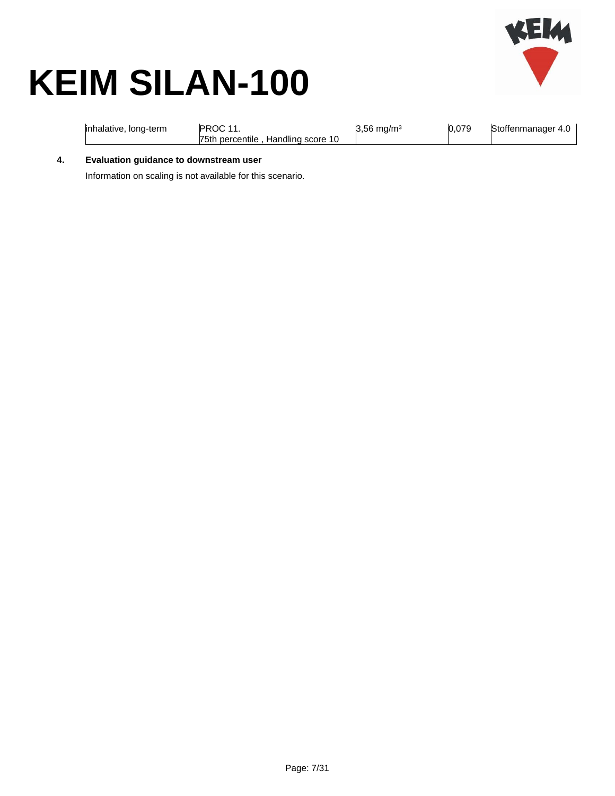

| inhalative, long-term | PROC 11<br>75th percentile, Handling score 10 | $3,56 \text{ mg/m}^3$ | 0.079 | Stoffenmanager 4.0 |
|-----------------------|-----------------------------------------------|-----------------------|-------|--------------------|
|-----------------------|-----------------------------------------------|-----------------------|-------|--------------------|

**4. Evaluation guidance to downstream user**

Information on scaling is not available for this scenario.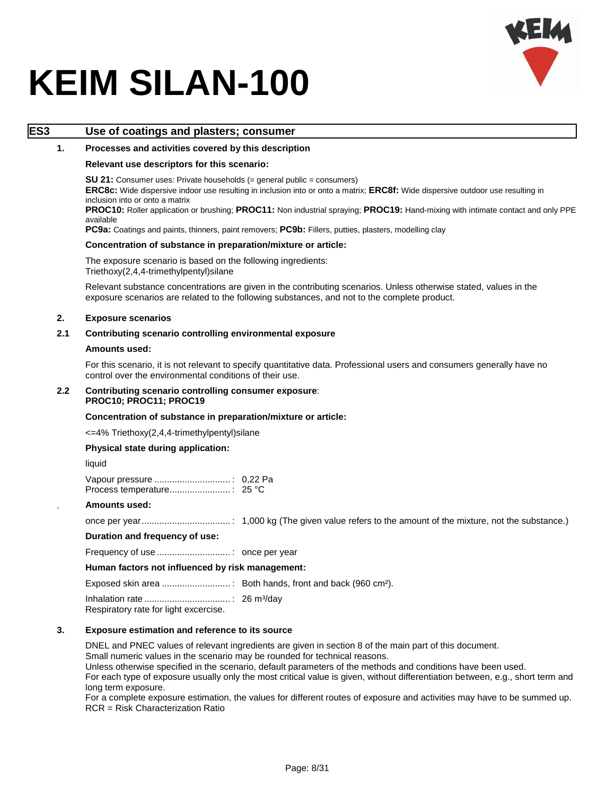

### **ES3 Use of coatings and plasters; consumer**

#### **1. Processes and activities covered by this description**

#### **Relevant use descriptors for this scenario:**

**SU 21:** Consumer uses: Private households (= general public = consumers)

**ERC8c:** Wide dispersive indoor use resulting in inclusion into or onto a matrix; **ERC8f:** Wide dispersive outdoor use resulting in inclusion into or onto a matrix

**PROC10:** Roller application or brushing; **PROC11:** Non industrial spraying; **PROC19:** Hand-mixing with intimate contact and only PPE available

**PC9a:** Coatings and paints, thinners, paint removers; **PC9b:** Fillers, putties, plasters, modelling clay

#### **Concentration of substance in preparation/mixture or article:**

The exposure scenario is based on the following ingredients: Triethoxy(2,4,4-trimethylpentyl)silane

Relevant substance concentrations are given in the contributing scenarios. Unless otherwise stated, values in the exposure scenarios are related to the following substances, and not to the complete product.

#### **2. Exposure scenarios**

#### **2.1 Contributing scenario controlling environmental exposure**

#### **Amounts used:**

For this scenario, it is not relevant to specify quantitative data. Professional users and consumers generally have no control over the environmental conditions of their use.

#### **2.2 Contributing scenario controlling consumer exposure**: **PROC10; PROC11; PROC19**

#### **Concentration of substance in preparation/mixture or article:**

<=4% Triethoxy(2,4,4-trimethylpentyl)silane

#### **Physical state during application:**

liquid

#### . **Amounts used:**

once per year................................... : 1,000 kg (The given value refers to the amount of the mixture, not the substance.)

#### **Duration and frequency of use:**

Frequency of use ............................. : once per year

#### **Human factors not influenced by risk management:**

Exposed skin area ........................... : Both hands, front and back (960 cm²).

Inhalation rate .................................. : 26 m³/day

Respiratory rate for light excercise.

#### **3. Exposure estimation and reference to its source**

DNEL and PNEC values of relevant ingredients are given in section 8 of the main part of this document.

Small numeric values in the scenario may be rounded for technical reasons.

Unless otherwise specified in the scenario, default parameters of the methods and conditions have been used.

For each type of exposure usually only the most critical value is given, without differentiation between, e.g., short term and long term exposure.

For a complete exposure estimation, the values for different routes of exposure and activities may have to be summed up. RCR = Risk Characterization Ratio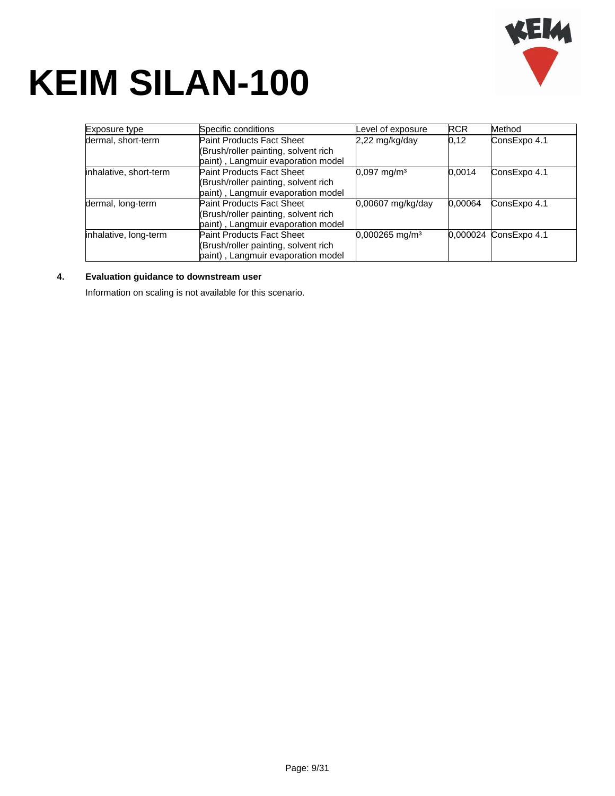

| Exposure type          | Specific conditions                                                                                            | Level of exposure            | <b>RCR</b> | Method                |
|------------------------|----------------------------------------------------------------------------------------------------------------|------------------------------|------------|-----------------------|
| dermal, short-term     | <b>Paint Products Fact Sheet</b><br>(Brush/roller painting, solvent rich<br>paint), Langmuir evaporation model | 2,22 mg/kg/day               | 0,12       | ConsExpo 4.1          |
| inhalative, short-term | <b>Paint Products Fact Sheet</b><br>(Brush/roller painting, solvent rich<br>paint), Langmuir evaporation model | $0,097$ mg/m <sup>3</sup>    | 0.0014     | ConsExpo 4.1          |
| dermal, long-term      | <b>Paint Products Fact Sheet</b><br>(Brush/roller painting, solvent rich<br>paint), Langmuir evaporation model | 0,00607 mg/kg/day            | 0,00064    | ConsExpo 4.1          |
| inhalative, long-term  | <b>Paint Products Fact Sheet</b><br>(Brush/roller painting, solvent rich<br>paint), Langmuir evaporation model | $0,000265$ mg/m <sup>3</sup> |            | 0,000024 ConsExpo 4.1 |

#### **4. Evaluation guidance to downstream user**

Information on scaling is not available for this scenario.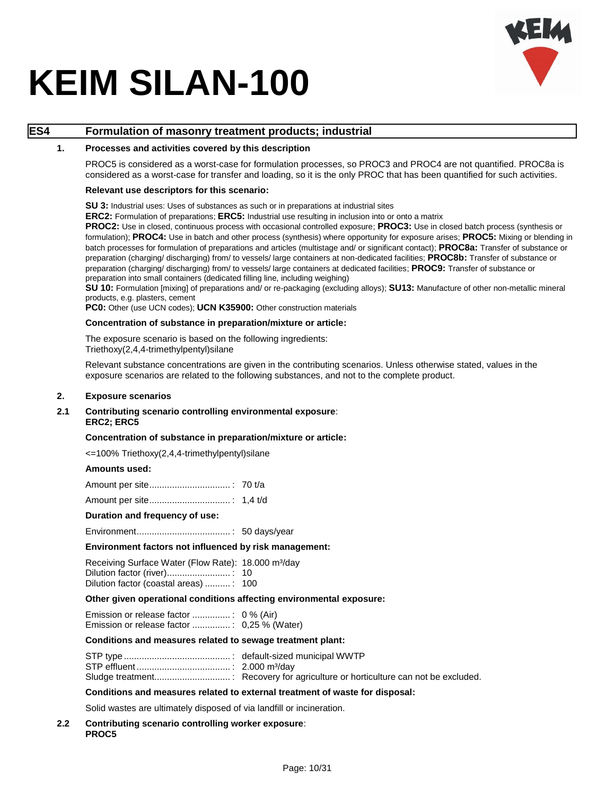

### **ES4 Formulation of masonry treatment products; industrial**

#### **1. Processes and activities covered by this description**

PROC5 is considered as a worst-case for formulation processes, so PROC3 and PROC4 are not quantified. PROC8a is considered as a worst-case for transfer and loading, so it is the only PROC that has been quantified for such activities.

#### **Relevant use descriptors for this scenario:**

**SU 3:** Industrial uses: Uses of substances as such or in preparations at industrial sites

**ERC2:** Formulation of preparations; **ERC5:** Industrial use resulting in inclusion into or onto a matrix

**PROC2:** Use in closed, continuous process with occasional controlled exposure; **PROC3:** Use in closed batch process (synthesis or formulation); **PROC4:** Use in batch and other process (synthesis) where opportunity for exposure arises; **PROC5:** Mixing or blending in batch processes for formulation of preparations and articles (multistage and/ or significant contact); **PROC8a:** Transfer of substance or preparation (charging/ discharging) from/ to vessels/ large containers at non-dedicated facilities; **PROC8b:** Transfer of substance or preparation (charging/ discharging) from/ to vessels/ large containers at dedicated facilities; **PROC9:** Transfer of substance or preparation into small containers (dedicated filling line, including weighing)

**SU 10:** Formulation [mixing] of preparations and/ or re-packaging (excluding alloys); **SU13:** Manufacture of other non-metallic mineral products, e.g. plasters, cement

**PC0:** Other (use UCN codes); **UCN K35900:** Other construction materials

#### **Concentration of substance in preparation/mixture or article:**

The exposure scenario is based on the following ingredients: Triethoxy(2,4,4-trimethylpentyl)silane

Relevant substance concentrations are given in the contributing scenarios. Unless otherwise stated, values in the exposure scenarios are related to the following substances, and not to the complete product.

#### **2. Exposure scenarios**

#### **2.1 Contributing scenario controlling environmental exposure**: **ERC2; ERC5**

#### **Concentration of substance in preparation/mixture or article:**

<=100% Triethoxy(2,4,4-trimethylpentyl)silane

#### **Amounts used:**

#### **Duration and frequency of use:**

Environment..................................... : 50 days/year

#### **Environment factors not influenced by risk management:**

| Receiving Surface Water (Flow Rate): 18.000 m <sup>3</sup> /day |  |
|-----------------------------------------------------------------|--|
|                                                                 |  |
| Dilution factor (coastal areas) : 100                           |  |

#### **Other given operational conditions affecting environmental exposure:**

#### **Conditions and measures related to sewage treatment plant:**

### **Conditions and measures related to external treatment of waste for disposal:**

Solid wastes are ultimately disposed of via landfill or incineration.

#### **2.2 Contributing scenario controlling worker exposure**: **PROC5**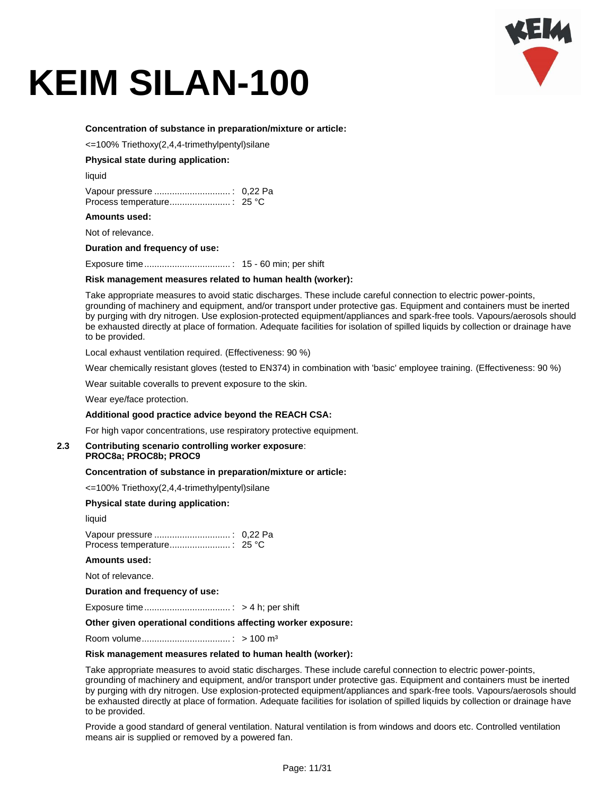

#### **Concentration of substance in preparation/mixture or article:**

<=100% Triethoxy(2,4,4-trimethylpentyl)silane

#### **Physical state during application:**

liquid

#### **Amounts used:**

Not of relevance.

**Duration and frequency of use:**

Exposure time.................................. : 15 - 60 min; per shift

#### **Risk management measures related to human health (worker):**

Take appropriate measures to avoid static discharges. These include careful connection to electric power-points, grounding of machinery and equipment, and/or transport under protective gas. Equipment and containers must be inerted by purging with dry nitrogen. Use explosion-protected equipment/appliances and spark-free tools. Vapours/aerosols should be exhausted directly at place of formation. Adequate facilities for isolation of spilled liquids by collection or drainage have to be provided.

Local exhaust ventilation required. (Effectiveness: 90 %)

Wear chemically resistant gloves (tested to EN374) in combination with 'basic' employee training. (Effectiveness: 90 %)

Wear suitable coveralls to prevent exposure to the skin.

Wear eye/face protection.

#### **Additional good practice advice beyond the REACH CSA:**

For high vapor concentrations, use respiratory protective equipment.

#### **2.3 Contributing scenario controlling worker exposure**: **PROC8a; PROC8b; PROC9**

**Concentration of substance in preparation/mixture or article:**

<=100% Triethoxy(2,4,4-trimethylpentyl)silane

#### **Physical state during application:**

liquid

#### **Amounts used:**

Not of relevance.

**Duration and frequency of use:**

Exposure time.................................. : > 4 h; per shift

#### **Other given operational conditions affecting worker exposure:**

Room volume................................... : > 100 m³

#### **Risk management measures related to human health (worker):**

Take appropriate measures to avoid static discharges. These include careful connection to electric power-points, grounding of machinery and equipment, and/or transport under protective gas. Equipment and containers must be inerted by purging with dry nitrogen. Use explosion-protected equipment/appliances and spark-free tools. Vapours/aerosols should be exhausted directly at place of formation. Adequate facilities for isolation of spilled liquids by collection or drainage have to be provided.

Provide a good standard of general ventilation. Natural ventilation is from windows and doors etc. Controlled ventilation means air is supplied or removed by a powered fan.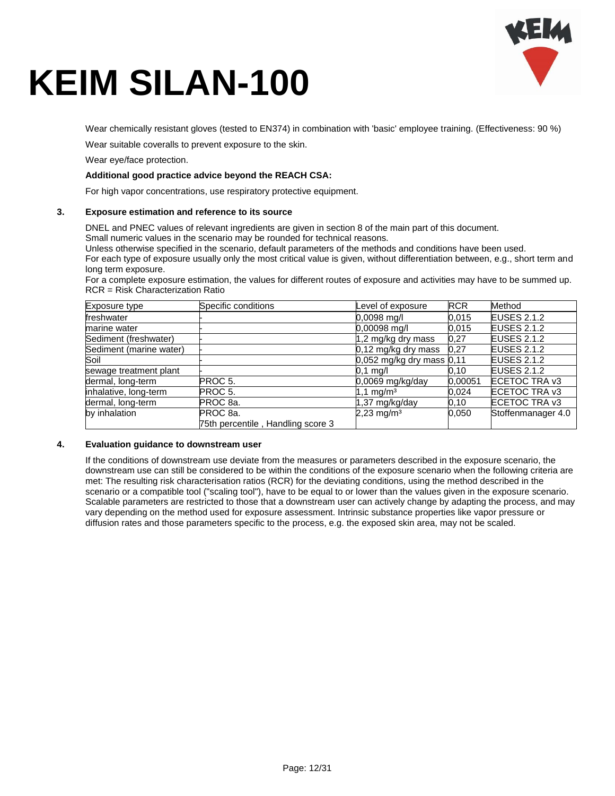

Wear chemically resistant gloves (tested to EN374) in combination with 'basic' employee training. (Effectiveness: 90 %)

Wear suitable coveralls to prevent exposure to the skin.

Wear eye/face protection.

#### **Additional good practice advice beyond the REACH CSA:**

For high vapor concentrations, use respiratory protective equipment.

#### **3. Exposure estimation and reference to its source**

DNEL and PNEC values of relevant ingredients are given in section 8 of the main part of this document.

Small numeric values in the scenario may be rounded for technical reasons.

Unless otherwise specified in the scenario, default parameters of the methods and conditions have been used. For each type of exposure usually only the most critical value is given, without differentiation between, e.g., short term and long term exposure.

For a complete exposure estimation, the values for different routes of exposure and activities may have to be summed up. RCR = Risk Characterization Ratio

| Exposure type           | Specific conditions               | Level of exposure             | <b>RCR</b> | Method             |
|-------------------------|-----------------------------------|-------------------------------|------------|--------------------|
| freshwater              |                                   | 0,0098 mg/l                   | 0,015      | <b>EUSES 2.1.2</b> |
| marine water            |                                   | 0,00098 mg/l                  | 0,015      | <b>EUSES 2.1.2</b> |
| Sediment (freshwater)   |                                   | 1,2 mg/kg dry mass            | 0,27       | <b>EUSES 2.1.2</b> |
| Sediment (marine water) |                                   | 0,12 mg/kg dry mass           | 0,27       | <b>EUSES 2.1.2</b> |
| Soil                    |                                   | $0,052$ mg/kg dry mass $0,11$ |            | <b>EUSES 2.1.2</b> |
| sewage treatment plant  |                                   | $0.1$ mg/l                    | 0.10       | <b>EUSES 2.1.2</b> |
| dermal, long-term       | PROC <sub>5</sub> .               | $0,0069$ mg/kg/day            | 0.00051    | ECETOC TRA v3      |
| inhalative, long-term   | PROC 5.                           | $1,1 \text{ mg/m}^3$          | 0,024      | ECETOC TRA v3      |
| dermal, long-term       | PROC 8a.                          | 1,37 mg/kg/day                | 0, 10      | ECETOC TRA v3      |
| by inhalation           | PROC <sub>8a</sub> .              | $2,23$ mg/m <sup>3</sup>      | 0,050      | Stoffenmanager 4.0 |
|                         | 75th percentile, Handling score 3 |                               |            |                    |

#### **4. Evaluation guidance to downstream user**

If the conditions of downstream use deviate from the measures or parameters described in the exposure scenario, the downstream use can still be considered to be within the conditions of the exposure scenario when the following criteria are met: The resulting risk characterisation ratios (RCR) for the deviating conditions, using the method described in the scenario or a compatible tool ("scaling tool"), have to be equal to or lower than the values given in the exposure scenario. Scalable parameters are restricted to those that a downstream user can actively change by adapting the process, and may vary depending on the method used for exposure assessment. Intrinsic substance properties like vapor pressure or diffusion rates and those parameters specific to the process, e.g. the exposed skin area, may not be scaled.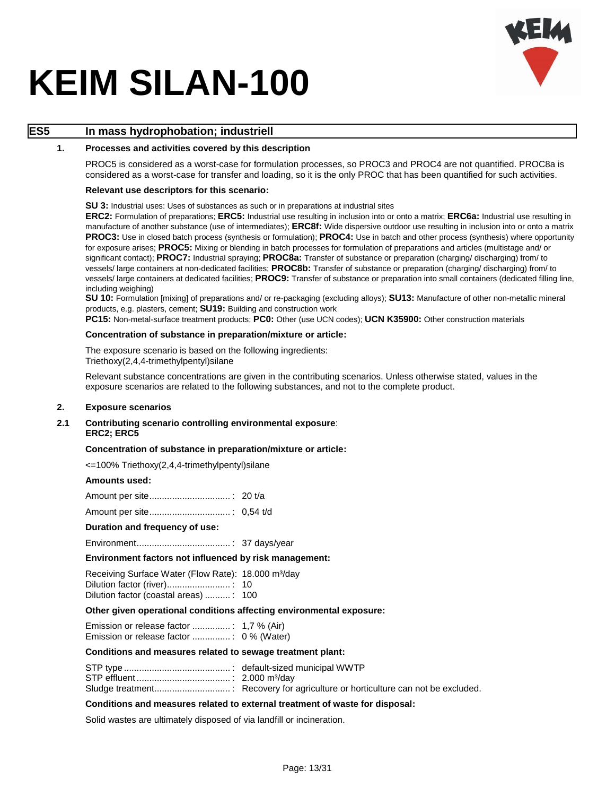

### **ES5 In mass hydrophobation; industriell**

#### **1. Processes and activities covered by this description**

PROC5 is considered as a worst-case for formulation processes, so PROC3 and PROC4 are not quantified. PROC8a is considered as a worst-case for transfer and loading, so it is the only PROC that has been quantified for such activities.

#### **Relevant use descriptors for this scenario:**

**SU 3:** Industrial uses: Uses of substances as such or in preparations at industrial sites

**ERC2:** Formulation of preparations; **ERC5:** Industrial use resulting in inclusion into or onto a matrix; **ERC6a:** Industrial use resulting in manufacture of another substance (use of intermediates); **ERC8f:** Wide dispersive outdoor use resulting in inclusion into or onto a matrix **PROC3:** Use in closed batch process (synthesis or formulation); **PROC4:** Use in batch and other process (synthesis) where opportunity for exposure arises; **PROC5:** Mixing or blending in batch processes for formulation of preparations and articles (multistage and/ or significant contact); **PROC7:** Industrial spraying; **PROC8a:** Transfer of substance or preparation (charging/ discharging) from/ to vessels/ large containers at non-dedicated facilities; **PROC8b:** Transfer of substance or preparation (charging/ discharging) from/ to vessels/ large containers at dedicated facilities; **PROC9:** Transfer of substance or preparation into small containers (dedicated filling line, including weighing)

**SU 10:** Formulation [mixing] of preparations and/ or re-packaging (excluding alloys); **SU13:** Manufacture of other non-metallic mineral products, e.g. plasters, cement; **SU19:** Building and construction work

**PC15:** Non-metal-surface treatment products; **PC0:** Other (use UCN codes); **UCN K35900:** Other construction materials

#### **Concentration of substance in preparation/mixture or article:**

The exposure scenario is based on the following ingredients: Triethoxy(2,4,4-trimethylpentyl)silane

Relevant substance concentrations are given in the contributing scenarios. Unless otherwise stated, values in the exposure scenarios are related to the following substances, and not to the complete product.

#### **2. Exposure scenarios**

**2.1 Contributing scenario controlling environmental exposure**: **ERC2; ERC5**

#### **Concentration of substance in preparation/mixture or article:**

<=100% Triethoxy(2,4,4-trimethylpentyl)silane

#### **Amounts used:**

Amount per site................................ : 0,54 t/d

#### **Duration and frequency of use:**

Environment..................................... : 37 days/year

#### **Environment factors not influenced by risk management:**

| Receiving Surface Water (Flow Rate): 18.000 m <sup>3</sup> /day |  |
|-----------------------------------------------------------------|--|
|                                                                 |  |
| Dilution factor (coastal areas) : 100                           |  |

#### **Other given operational conditions affecting environmental exposure:**

Emission or release factor ............... : 1,7 % (Air) Emission or release factor ............... : 0 % (Water)

#### **Conditions and measures related to sewage treatment plant:**

#### **Conditions and measures related to external treatment of waste for disposal:**

Solid wastes are ultimately disposed of via landfill or incineration.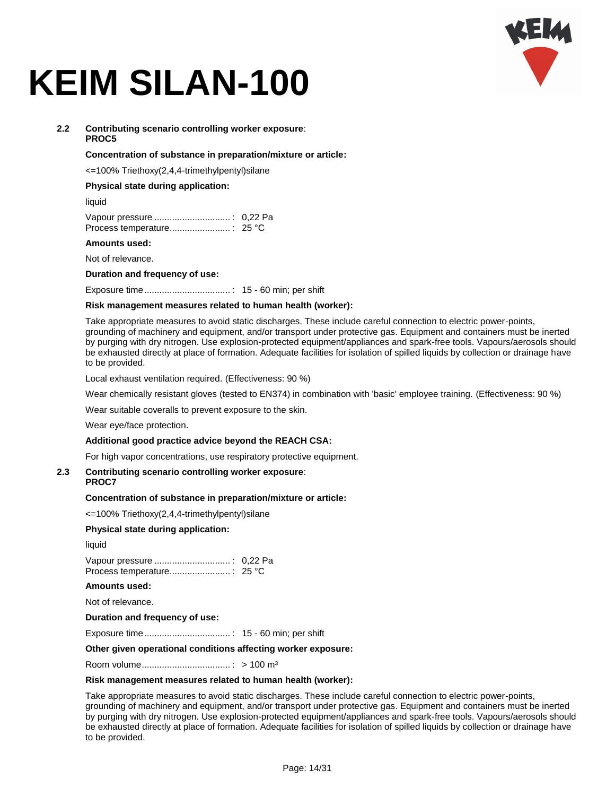

#### **2.2 Contributing scenario controlling worker exposure**: **PROC5**

#### **Concentration of substance in preparation/mixture or article:**

<=100% Triethoxy(2,4,4-trimethylpentyl)silane

#### **Physical state during application:**

liquid

#### **Amounts used:**

Not of relevance.

**Duration and frequency of use:**

Exposure time.................................. : 15 - 60 min; per shift

#### **Risk management measures related to human health (worker):**

Take appropriate measures to avoid static discharges. These include careful connection to electric power-points, grounding of machinery and equipment, and/or transport under protective gas. Equipment and containers must be inerted by purging with dry nitrogen. Use explosion-protected equipment/appliances and spark-free tools. Vapours/aerosols should be exhausted directly at place of formation. Adequate facilities for isolation of spilled liquids by collection or drainage have to be provided.

Local exhaust ventilation required. (Effectiveness: 90 %)

Wear chemically resistant gloves (tested to EN374) in combination with 'basic' employee training. (Effectiveness: 90 %)

Wear suitable coveralls to prevent exposure to the skin.

Wear eye/face protection.

#### **Additional good practice advice beyond the REACH CSA:**

For high vapor concentrations, use respiratory protective equipment.

#### **2.3 Contributing scenario controlling worker exposure**:

#### **PROC7**

#### **Concentration of substance in preparation/mixture or article:**

<=100% Triethoxy(2,4,4-trimethylpentyl)silane

#### **Physical state during application:**

liquid

Vapour pressure .............................. : 0,22 Pa Process temperature........................ : 25 °C

#### **Amounts used:**

Not of relevance.

#### **Duration and frequency of use:**

Exposure time.................................. : 15 - 60 min; per shift

#### **Other given operational conditions affecting worker exposure:**

Room volume................................... : > 100 m³

#### **Risk management measures related to human health (worker):**

Take appropriate measures to avoid static discharges. These include careful connection to electric power-points, grounding of machinery and equipment, and/or transport under protective gas. Equipment and containers must be inerted by purging with dry nitrogen. Use explosion-protected equipment/appliances and spark-free tools. Vapours/aerosols should be exhausted directly at place of formation. Adequate facilities for isolation of spilled liquids by collection or drainage have to be provided.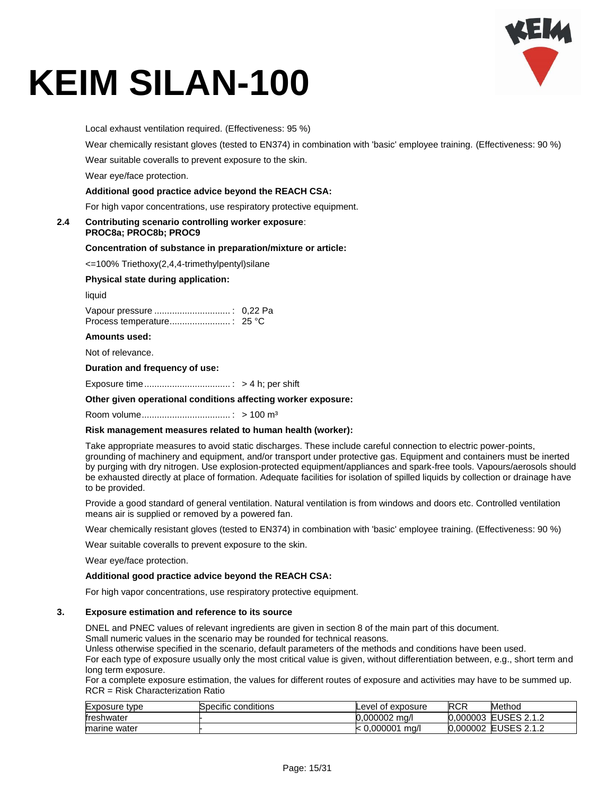Local exhaust ventilation required. (Effectiveness: 95 %)

Wear chemically resistant gloves (tested to EN374) in combination with 'basic' employee training. (Effectiveness: 90 %)

Wear suitable coveralls to prevent exposure to the skin.

Wear eye/face protection.

#### **Additional good practice advice beyond the REACH CSA:**

For high vapor concentrations, use respiratory protective equipment.

#### **2.4 Contributing scenario controlling worker exposure**: **PROC8a; PROC8b; PROC9**

#### **Concentration of substance in preparation/mixture or article:**

<=100% Triethoxy(2,4,4-trimethylpentyl)silane

#### **Physical state during application:**

liquid

#### **Amounts used:**

Not of relevance.

#### **Duration and frequency of use:**

Exposure time.................................. : > 4 h; per shift

#### **Other given operational conditions affecting worker exposure:**

Room volume................................... : > 100 m³

#### **Risk management measures related to human health (worker):**

Take appropriate measures to avoid static discharges. These include careful connection to electric power-points, grounding of machinery and equipment, and/or transport under protective gas. Equipment and containers must be inerted by purging with dry nitrogen. Use explosion-protected equipment/appliances and spark-free tools. Vapours/aerosols should be exhausted directly at place of formation. Adequate facilities for isolation of spilled liquids by collection or drainage have to be provided.

Provide a good standard of general ventilation. Natural ventilation is from windows and doors etc. Controlled ventilation means air is supplied or removed by a powered fan.

Wear chemically resistant gloves (tested to EN374) in combination with 'basic' employee training. (Effectiveness: 90 %)

Wear suitable coveralls to prevent exposure to the skin.

Wear eye/face protection.

#### **Additional good practice advice beyond the REACH CSA:**

For high vapor concentrations, use respiratory protective equipment.

#### **3. Exposure estimation and reference to its source**

DNEL and PNEC values of relevant ingredients are given in section 8 of the main part of this document.

Small numeric values in the scenario may be rounded for technical reasons.

Unless otherwise specified in the scenario, default parameters of the methods and conditions have been used.

For each type of exposure usually only the most critical value is given, without differentiation between, e.g., short term and long term exposure.

For a complete exposure estimation, the values for different routes of exposure and activities may have to be summed up. RCR = Risk Characterization Ratio

| Exposure<br>tvpe | Specific conditions | Level of exposure | <b>RCR</b> | Method                    |
|------------------|---------------------|-------------------|------------|---------------------------|
| treshwater       |                     | 0.000002<br>ma/l  | 0.000003   | <b>EUSES 2.1.2</b>        |
| marine water     |                     | .0.000001<br>ma/l | 0.000002   | $\angle$ USES 2.1.2<br>EЦ |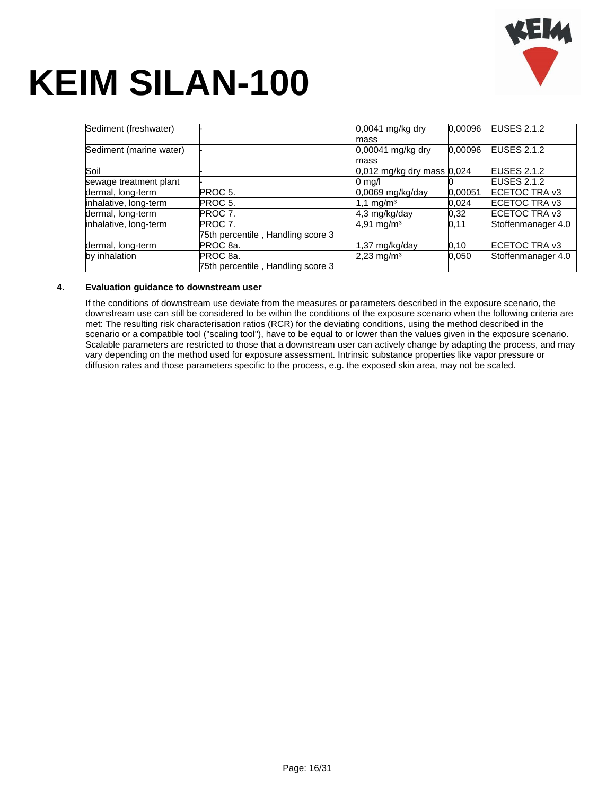

| Sediment (freshwater)   |                                   | $0,0041$ mg/kg dry             | 0.00096 | <b>EUSES 2.1.2</b> |
|-------------------------|-----------------------------------|--------------------------------|---------|--------------------|
|                         |                                   | mass                           |         |                    |
| Sediment (marine water) |                                   | 0,00041 mg/kg dry              | 0.00096 | <b>EUSES 2.1.2</b> |
|                         |                                   | mass                           |         |                    |
| Soil                    |                                   | $0,012$ mg/kg dry mass $0,024$ |         | <b>EUSES 2.1.2</b> |
| sewage treatment plant  |                                   | $0 \text{ rad}$                |         | <b>EUSES 2.1.2</b> |
| dermal, long-term       | PROC 5.                           | $0.0069$ mg/kg/day             | 0,00051 | ECETOC TRA v3      |
| inhalative, long-term   | PROC <sub>5</sub> .               | 1,1 mg/m <sup>3</sup>          | 0,024   | ECETOC TRA v3      |
| dermal, long-term       | PROC 7.                           | 4.3 mg/kg/day                  | 0.32    | ECETOC TRA v3      |
| inhalative, long-term   | PROC 7.                           | $4,91$ mg/m <sup>3</sup>       | 0,11    | Stoffenmanager 4.0 |
|                         | 75th percentile, Handling score 3 |                                |         |                    |
| dermal, long-term       | PROC 8a.                          | 1,37 mg/kg/day                 | 0.10    | ECETOC TRA v3      |
| by inhalation           | PROC <sub>8a</sub>                | $2,23$ mg/m <sup>3</sup>       | 0.050   | Stoffenmanager 4.0 |
|                         | 75th percentile, Handling score 3 |                                |         |                    |

#### **4. Evaluation guidance to downstream user**

If the conditions of downstream use deviate from the measures or parameters described in the exposure scenario, the downstream use can still be considered to be within the conditions of the exposure scenario when the following criteria are met: The resulting risk characterisation ratios (RCR) for the deviating conditions, using the method described in the scenario or a compatible tool ("scaling tool"), have to be equal to or lower than the values given in the exposure scenario. Scalable parameters are restricted to those that a downstream user can actively change by adapting the process, and may vary depending on the method used for exposure assessment. Intrinsic substance properties like vapor pressure or diffusion rates and those parameters specific to the process, e.g. the exposed skin area, may not be scaled.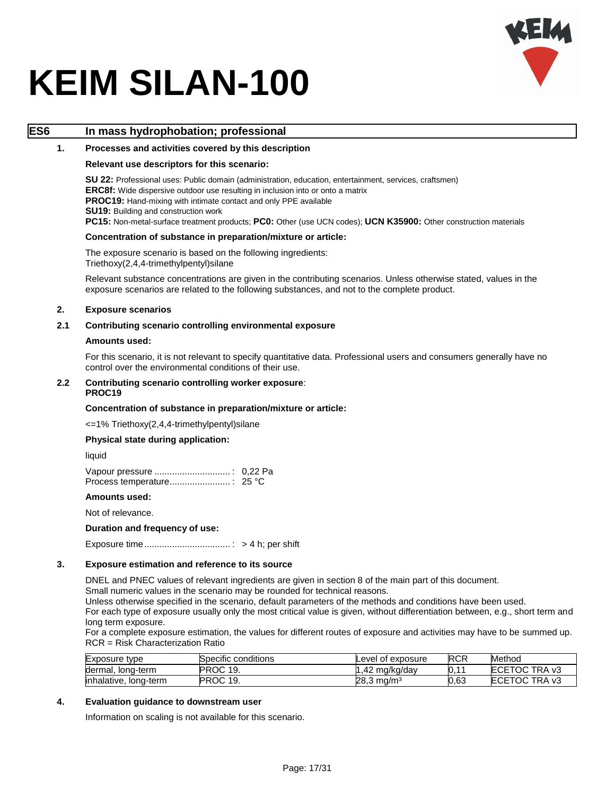

### **ES6 In mass hydrophobation; professional**

#### **1. Processes and activities covered by this description**

#### **Relevant use descriptors for this scenario:**

**SU 22:** Professional uses: Public domain (administration, education, entertainment, services, craftsmen) **ERC8f:** Wide dispersive outdoor use resulting in inclusion into or onto a matrix **PROC19:** Hand-mixing with intimate contact and only PPE available **SU19: Building and construction work PC15:** Non-metal-surface treatment products; **PC0:** Other (use UCN codes); **UCN K35900:** Other construction materials

#### **Concentration of substance in preparation/mixture or article:**

The exposure scenario is based on the following ingredients: Triethoxy(2,4,4-trimethylpentyl)silane

Relevant substance concentrations are given in the contributing scenarios. Unless otherwise stated, values in the exposure scenarios are related to the following substances, and not to the complete product.

#### **2. Exposure scenarios**

#### **2.1 Contributing scenario controlling environmental exposure**

#### **Amounts used:**

For this scenario, it is not relevant to specify quantitative data. Professional users and consumers generally have no control over the environmental conditions of their use.

#### **2.2 Contributing scenario controlling worker exposure**: **PROC19**

#### **Concentration of substance in preparation/mixture or article:**

<=1% Triethoxy(2,4,4-trimethylpentyl)silane

#### **Physical state during application:**

liquid

#### **Amounts used:**

Not of relevance.

#### **Duration and frequency of use:**

Exposure time.................................. : > 4 h; per shift

#### **3. Exposure estimation and reference to its source**

DNEL and PNEC values of relevant ingredients are given in section 8 of the main part of this document. Small numeric values in the scenario may be rounded for technical reasons.

Unless otherwise specified in the scenario, default parameters of the methods and conditions have been used.

For each type of exposure usually only the most critical value is given, without differentiation between, e.g., short term and long term exposure.

For a complete exposure estimation, the values for different routes of exposure and activities may have to be summed up. RCR = Risk Characterization Ratio

| Exposure type         | Specific conditions | Level of exposure        | <b>RCR</b>                   | Method        |
|-----------------------|---------------------|--------------------------|------------------------------|---------------|
| dermal, long-term     | PROC 19.            | . .42 mɑ/kɑ/dav          | $\overline{A}$<br><b>N.I</b> | ECETOC TRA v3 |
| inhalative, long-term | PROC 19.            | $28.3 \,\mathrm{mq/m^3}$ | 0.63                         | ECETOC TRA v3 |

### **4. Evaluation guidance to downstream user**

Information on scaling is not available for this scenario.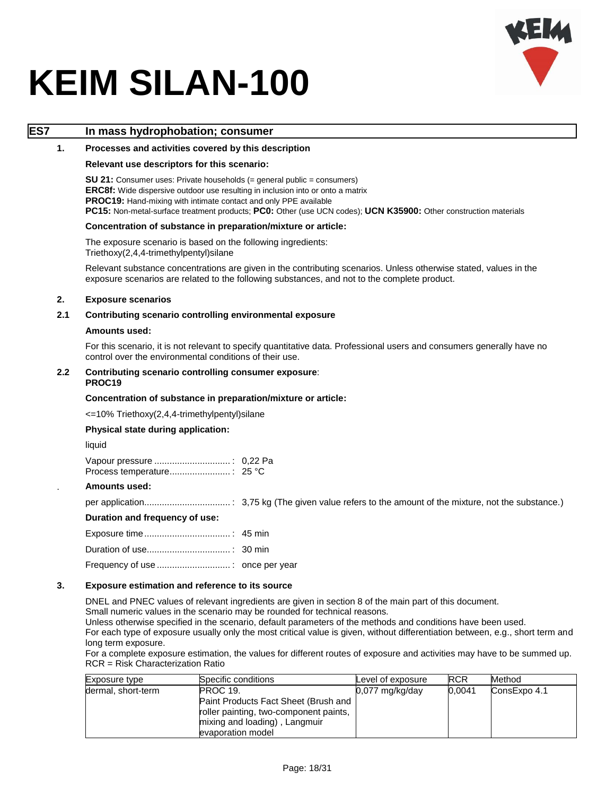

### **ES7 In mass hydrophobation; consumer**

#### **1. Processes and activities covered by this description**

#### **Relevant use descriptors for this scenario:**

**SU 21:** Consumer uses: Private households (= general public = consumers) **ERC8f:** Wide dispersive outdoor use resulting in inclusion into or onto a matrix **PROC19:** Hand-mixing with intimate contact and only PPE available **PC15:** Non-metal-surface treatment products; **PC0:** Other (use UCN codes); **UCN K35900:** Other construction materials

#### **Concentration of substance in preparation/mixture or article:**

The exposure scenario is based on the following ingredients: Triethoxy(2,4,4-trimethylpentyl)silane

Relevant substance concentrations are given in the contributing scenarios. Unless otherwise stated, values in the exposure scenarios are related to the following substances, and not to the complete product.

#### **2. Exposure scenarios**

#### **2.1 Contributing scenario controlling environmental exposure**

#### **Amounts used:**

For this scenario, it is not relevant to specify quantitative data. Professional users and consumers generally have no control over the environmental conditions of their use.

#### **2.2 Contributing scenario controlling consumer exposure**: **PROC19**

#### **Concentration of substance in preparation/mixture or article:**

<=10% Triethoxy(2,4,4-trimethylpentyl)silane

#### **Physical state during application:**

liquid

#### . **Amounts used:**

per application.................................. : 3,75 kg (The given value refers to the amount of the mixture, not the substance.)

#### **Duration and frequency of use:**

#### **3. Exposure estimation and reference to its source**

DNEL and PNEC values of relevant ingredients are given in section 8 of the main part of this document.

Small numeric values in the scenario may be rounded for technical reasons.

Unless otherwise specified in the scenario, default parameters of the methods and conditions have been used.

For each type of exposure usually only the most critical value is given, without differentiation between, e.g., short term and long term exposure.

For a complete exposure estimation, the values for different routes of exposure and activities may have to be summed up. RCR = Risk Characterization Ratio

| Exposure type      | Specific conditions                    | Level of exposure | <b>RCR</b> | Method       |
|--------------------|----------------------------------------|-------------------|------------|--------------|
| dermal, short-term | PROC 19.                               | $0.077$ mg/kg/day | 0.0041     | ConsExpo 4.1 |
|                    | Paint Products Fact Sheet (Brush and   |                   |            |              |
|                    | roller painting, two-component paints, |                   |            |              |
|                    | mixing and loading), Langmuir          |                   |            |              |
|                    | evaporation model                      |                   |            |              |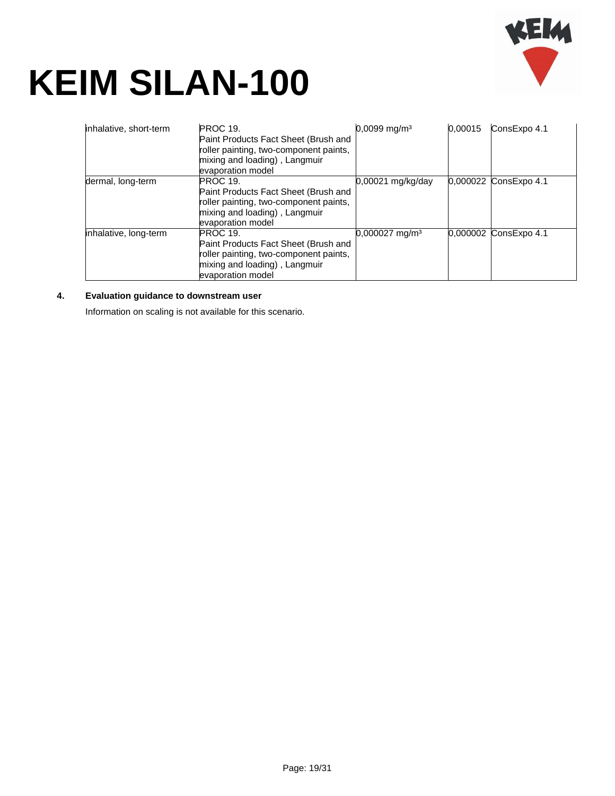

| inhalative, short-term | <b>PROC 19.</b><br>Paint Products Fact Sheet (Brush and<br>roller painting, two-component paints,<br>mixing and loading), Langmuir<br>evaporation model | $0,0099$ mg/m <sup>3</sup>   | 0.00015 | ConsExpo 4.1          |
|------------------------|---------------------------------------------------------------------------------------------------------------------------------------------------------|------------------------------|---------|-----------------------|
| dermal, long-term      | <b>PROC 19.</b><br>Paint Products Fact Sheet (Brush and<br>roller painting, two-component paints,<br>mixing and loading), Langmuir<br>evaporation model | 0,00021 mg/kg/day            |         | 0,000022 ConsExpo 4.1 |
| inhalative, long-term  | <b>PROC 19.</b><br>Paint Products Fact Sheet (Brush and<br>roller painting, two-component paints,<br>mixing and loading), Langmuir<br>evaporation model | $0,000027$ mg/m <sup>3</sup> |         | 0,000002 ConsExpo 4.1 |

### **4. Evaluation guidance to downstream user**

Information on scaling is not available for this scenario.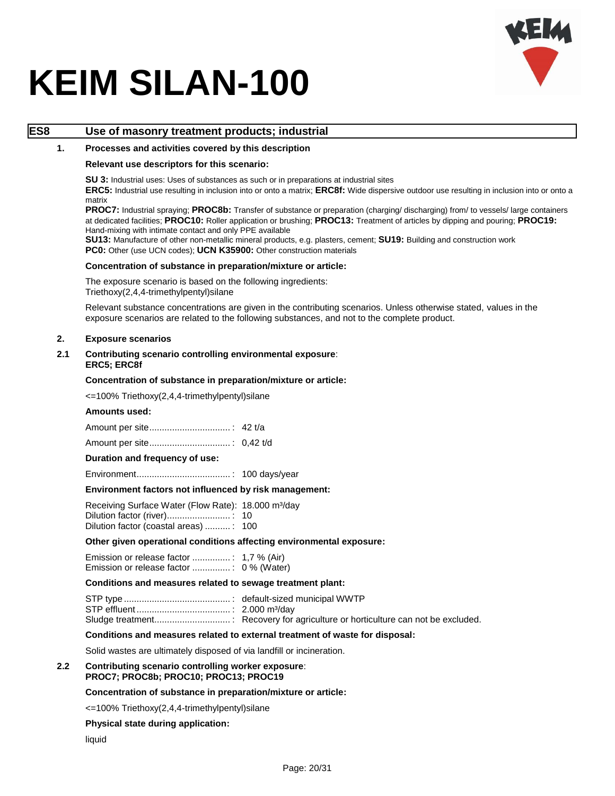

### **ES8 Use of masonry treatment products; industrial**

#### **1. Processes and activities covered by this description**

#### **Relevant use descriptors for this scenario:**

**SU 3:** Industrial uses: Uses of substances as such or in preparations at industrial sites

**ERC5:** Industrial use resulting in inclusion into or onto a matrix; **ERC8f:** Wide dispersive outdoor use resulting in inclusion into or onto a matrix

**PROC7:** Industrial spraying; **PROC8b:** Transfer of substance or preparation (charging/ discharging) from/ to vessels/ large containers at dedicated facilities; **PROC10:** Roller application or brushing; **PROC13:** Treatment of articles by dipping and pouring; **PROC19:**  Hand-mixing with intimate contact and only PPE available

**SU13:** Manufacture of other non-metallic mineral products, e.g. plasters, cement; **SU19:** Building and construction work PC0: Other (use UCN codes); UCN K35900: Other construction materials

#### **Concentration of substance in preparation/mixture or article:**

The exposure scenario is based on the following ingredients: Triethoxy(2,4,4-trimethylpentyl)silane

Relevant substance concentrations are given in the contributing scenarios. Unless otherwise stated, values in the exposure scenarios are related to the following substances, and not to the complete product.

#### **2. Exposure scenarios**

#### **2.1 Contributing scenario controlling environmental exposure**: **ERC5; ERC8f**

#### **Concentration of substance in preparation/mixture or article:**

<=100% Triethoxy(2,4,4-trimethylpentyl)silane

#### **Amounts used:**

#### **Duration and frequency of use:**

Environment..................................... : 100 days/year

#### **Environment factors not influenced by risk management:**

Receiving Surface Water (Flow Rate): 18.000 m<sup>3</sup>/day Dilution factor (river)......................... : 10 Dilution factor (coastal areas) .......... : 100

#### **Other given operational conditions affecting environmental exposure:**

Emission or release factor ............... : 1,7 % (Air) Emission or release factor ............... : 0 % (Water)

#### **Conditions and measures related to sewage treatment plant:**

#### **Conditions and measures related to external treatment of waste for disposal:**

Solid wastes are ultimately disposed of via landfill or incineration.

#### **2.2 Contributing scenario controlling worker exposure**: **PROC7; PROC8b; PROC10; PROC13; PROC19**

#### **Concentration of substance in preparation/mixture or article:**

<=100% Triethoxy(2,4,4-trimethylpentyl)silane

#### **Physical state during application:**

liquid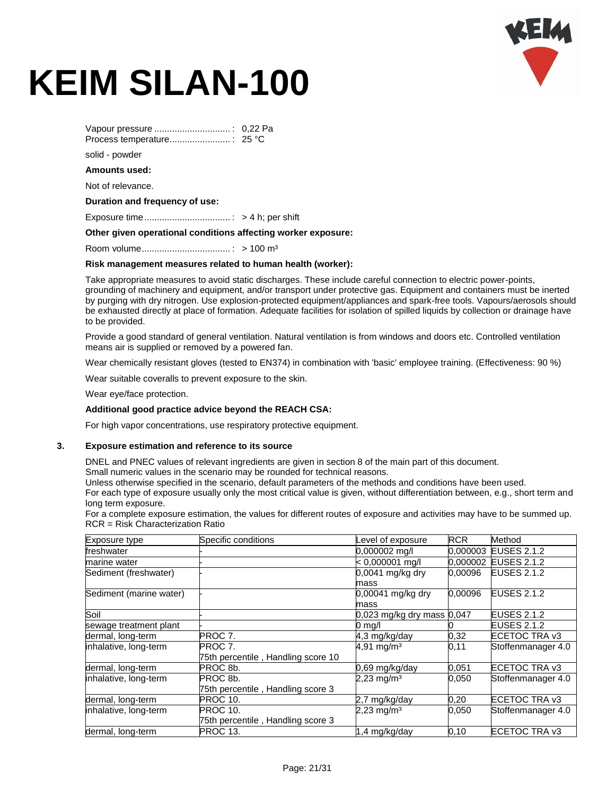

Vapour pressure .............................. : 0,22 Pa Process temperature........................ : 25 °C solid - powder **Amounts used:** Not of relevance.

#### **Duration and frequency of use:**

Exposure time.................................. : > 4 h; per shift

#### **Other given operational conditions affecting worker exposure:**

Room volume................................... : > 100 m³

#### **Risk management measures related to human health (worker):**

Take appropriate measures to avoid static discharges. These include careful connection to electric power-points, grounding of machinery and equipment, and/or transport under protective gas. Equipment and containers must be inerted by purging with dry nitrogen. Use explosion-protected equipment/appliances and spark-free tools. Vapours/aerosols should be exhausted directly at place of formation. Adequate facilities for isolation of spilled liquids by collection or drainage have to be provided.

Provide a good standard of general ventilation. Natural ventilation is from windows and doors etc. Controlled ventilation means air is supplied or removed by a powered fan.

Wear chemically resistant gloves (tested to EN374) in combination with 'basic' employee training. (Effectiveness: 90 %)

Wear suitable coveralls to prevent exposure to the skin.

Wear eye/face protection.

#### **Additional good practice advice beyond the REACH CSA:**

For high vapor concentrations, use respiratory protective equipment.

#### **3. Exposure estimation and reference to its source**

DNEL and PNEC values of relevant ingredients are given in section 8 of the main part of this document.

Small numeric values in the scenario may be rounded for technical reasons.

Unless otherwise specified in the scenario, default parameters of the methods and conditions have been used.

For each type of exposure usually only the most critical value is given, without differentiation between, e.g., short term and long term exposure.

For a complete exposure estimation, the values for different routes of exposure and activities may have to be summed up. RCR = Risk Characterization Ratio

| Exposure type           | Specific conditions                | Level of exposure              | <b>RCR</b> | Method             |
|-------------------------|------------------------------------|--------------------------------|------------|--------------------|
| freshwater              |                                    | $0,000002$ mg/l                | 0.000003   | <b>EUSES 2.1.2</b> |
| marine water            |                                    | $< 0,000001$ mg/l              | 0,000002   | <b>EUSES 2.1.2</b> |
| Sediment (freshwater)   |                                    | $0,0041$ mg/kg dry             | 0.00096    | <b>EUSES 2.1.2</b> |
|                         |                                    | mass                           |            |                    |
| Sediment (marine water) |                                    | 0,00041 mg/kg dry              | 0,00096    | <b>EUSES 2.1.2</b> |
|                         |                                    | mass                           |            |                    |
| Soil                    |                                    | $0,023$ mg/kg dry mass $0,047$ |            | <b>EUSES 2.1.2</b> |
| sewage treatment plant  |                                    | $0 \text{ m}$ a/l              |            | <b>EUSES 2.1.2</b> |
| dermal, long-term       | PROC 7.                            | 4,3 mg/kg/day                  | 0,32       | ECETOC TRA v3      |
| inhalative, long-term   | PROC 7.                            | $4,91$ mg/m <sup>3</sup>       | 0,11       | Stoffenmanager 4.0 |
|                         | 75th percentile, Handling score 10 |                                |            |                    |
| dermal, long-term       | PROC <sub>8b</sub> .               | 0,69 mg/kg/day                 | 0,051      | ECETOC TRA v3      |
| inhalative, long-term   | PROC 8b.                           | $2,23$ mg/m <sup>3</sup>       | 0.050      | Stoffenmanager 4.0 |
|                         | 75th percentile, Handling score 3  |                                |            |                    |
| dermal, long-term       | <b>PROC 10.</b>                    | 2,7 mg/kg/day                  | 0,20       | ECETOC TRA v3      |
| inhalative, long-term   | <b>PROC 10.</b>                    | $2,23$ mg/m <sup>3</sup>       | 0,050      | Stoffenmanager 4.0 |
|                         | 75th percentile, Handling score 3  |                                |            |                    |
| dermal, long-term       | PROC 13.                           | 1,4 mg/kg/day                  | 0, 10      | ECETOC TRA v3      |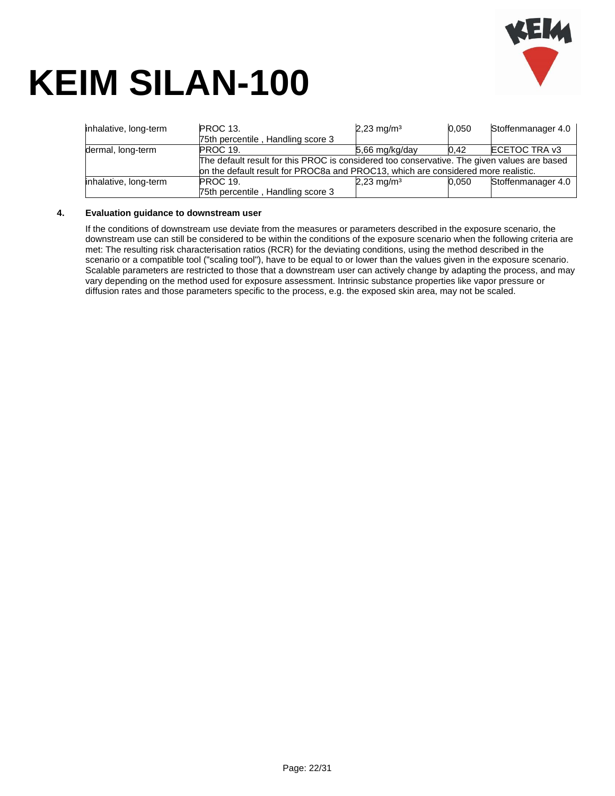

| inhalative, long-term | <b>PROC 13.</b><br>75th percentile, Handling score 3                                                           | $2,23$ mg/m <sup>3</sup> | 0,050 | Stoffenmanager 4.0 |
|-----------------------|----------------------------------------------------------------------------------------------------------------|--------------------------|-------|--------------------|
| dermal, long-term     | <b>PROC 19.</b><br>The default result for this PROC is considered too conservative. The given values are based | $5,66$ mg/kg/day         | 0.42  | ECETOC TRA v3      |
|                       | on the default result for PROC8a and PROC13, which are considered more realistic.                              |                          |       |                    |
| inhalative, long-term | <b>PROC 19.</b>                                                                                                | $2,23$ mg/m <sup>3</sup> | 0.050 | Stoffenmanager 4.0 |
|                       | 75th percentile, Handling score 3                                                                              |                          |       |                    |

#### **4. Evaluation guidance to downstream user**

If the conditions of downstream use deviate from the measures or parameters described in the exposure scenario, the downstream use can still be considered to be within the conditions of the exposure scenario when the following criteria are met: The resulting risk characterisation ratios (RCR) for the deviating conditions, using the method described in the scenario or a compatible tool ("scaling tool"), have to be equal to or lower than the values given in the exposure scenario. Scalable parameters are restricted to those that a downstream user can actively change by adapting the process, and may vary depending on the method used for exposure assessment. Intrinsic substance properties like vapor pressure or diffusion rates and those parameters specific to the process, e.g. the exposed skin area, may not be scaled.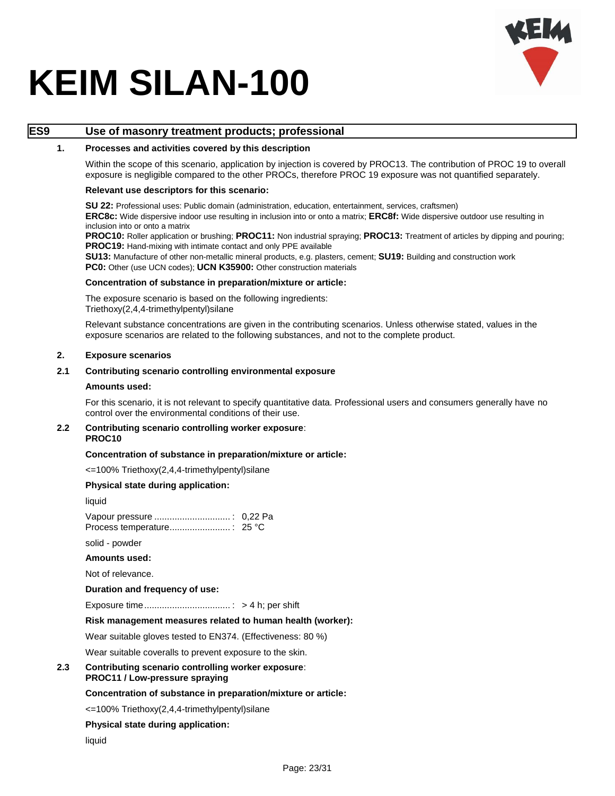

### **ES9 Use of masonry treatment products; professional**

#### **1. Processes and activities covered by this description**

Within the scope of this scenario, application by injection is covered by PROC13. The contribution of PROC 19 to overall exposure is negligible compared to the other PROCs, therefore PROC 19 exposure was not quantified separately.

#### **Relevant use descriptors for this scenario:**

**SU 22:** Professional uses: Public domain (administration, education, entertainment, services, craftsmen) **ERC8c:** Wide dispersive indoor use resulting in inclusion into or onto a matrix; **ERC8f:** Wide dispersive outdoor use resulting in inclusion into or onto a matrix

**PROC10:** Roller application or brushing; **PROC11:** Non industrial spraying; **PROC13:** Treatment of articles by dipping and pouring; **PROC19:** Hand-mixing with intimate contact and only PPE available

**SU13:** Manufacture of other non-metallic mineral products, e.g. plasters, cement; **SU19:** Building and construction work PC0: Other (use UCN codes); UCN K35900: Other construction materials

#### **Concentration of substance in preparation/mixture or article:**

The exposure scenario is based on the following ingredients: Triethoxy(2,4,4-trimethylpentyl)silane

Relevant substance concentrations are given in the contributing scenarios. Unless otherwise stated, values in the exposure scenarios are related to the following substances, and not to the complete product.

#### **2. Exposure scenarios**

#### **2.1 Contributing scenario controlling environmental exposure**

#### **Amounts used:**

For this scenario, it is not relevant to specify quantitative data. Professional users and consumers generally have no control over the environmental conditions of their use.

#### **2.2 Contributing scenario controlling worker exposure**: **PROC10**

#### **Concentration of substance in preparation/mixture or article:**

<=100% Triethoxy(2,4,4-trimethylpentyl)silane

#### **Physical state during application:**

liquid

Vapour pressure .............................. : 0,22 Pa Process temperature........................ : 25 °C

solid - powder

#### **Amounts used:**

Not of relevance.

#### **Duration and frequency of use:**

Exposure time.................................. : > 4 h; per shift

#### **Risk management measures related to human health (worker):**

Wear suitable gloves tested to EN374. (Effectiveness: 80 %)

Wear suitable coveralls to prevent exposure to the skin.

#### **2.3 Contributing scenario controlling worker exposure**: **PROC11 / Low-pressure spraying**

#### **Concentration of substance in preparation/mixture or article:**

<=100% Triethoxy(2,4,4-trimethylpentyl)silane

#### **Physical state during application:**

liquid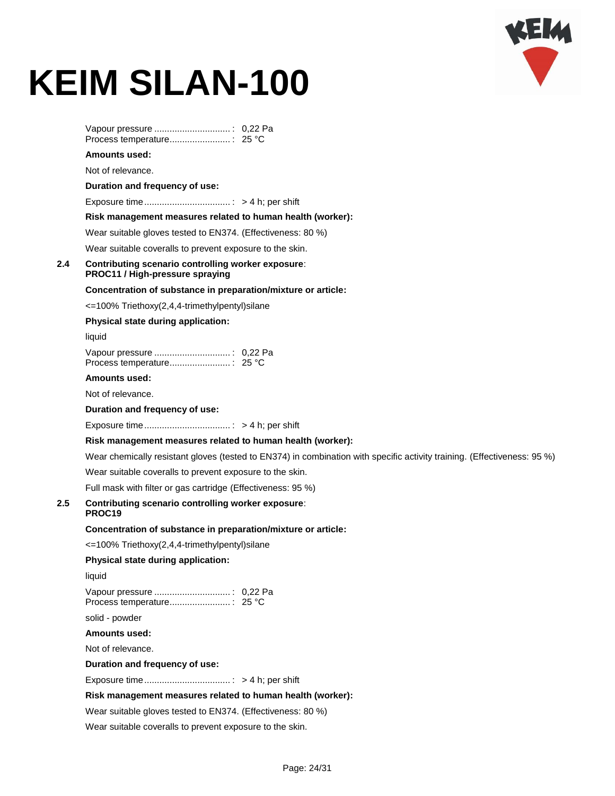

|     | <b>Amounts used:</b>                                                                                                     |
|-----|--------------------------------------------------------------------------------------------------------------------------|
|     | Not of relevance.                                                                                                        |
|     | Duration and frequency of use:                                                                                           |
|     |                                                                                                                          |
|     | Risk management measures related to human health (worker):                                                               |
|     | Wear suitable gloves tested to EN374. (Effectiveness: 80 %)                                                              |
|     | Wear suitable coveralls to prevent exposure to the skin.                                                                 |
| 2.4 | Contributing scenario controlling worker exposure:<br>PROC11 / High-pressure spraying                                    |
|     | Concentration of substance in preparation/mixture or article:                                                            |
|     | <=100% Triethoxy(2,4,4-trimethylpentyl)silane                                                                            |
|     | Physical state during application:                                                                                       |
|     | liquid                                                                                                                   |
|     |                                                                                                                          |
|     | <b>Amounts used:</b>                                                                                                     |
|     | Not of relevance.                                                                                                        |
|     | Duration and frequency of use:                                                                                           |
|     |                                                                                                                          |
|     | Risk management measures related to human health (worker):                                                               |
|     | Wear chemically resistant gloves (tested to EN374) in combination with specific activity training. (Effectiveness: 95 %) |
|     | Wear suitable coveralls to prevent exposure to the skin.                                                                 |
|     | Full mask with filter or gas cartridge (Effectiveness: 95 %)                                                             |
| 2.5 | Contributing scenario controlling worker exposure:<br>PROC19                                                             |
|     | Concentration of substance in preparation/mixture or article:                                                            |
|     | <=100% Triethoxy(2,4,4-trimethylpentyl)silane                                                                            |
|     | Physical state during application:                                                                                       |
|     | liquid                                                                                                                   |
|     |                                                                                                                          |
|     | solid - powder                                                                                                           |
|     | <b>Amounts used:</b>                                                                                                     |
|     | Not of relevance.                                                                                                        |
|     | Duration and frequency of use:                                                                                           |
|     |                                                                                                                          |
|     | Risk management measures related to human health (worker):                                                               |
|     | Wear suitable gloves tested to EN374. (Effectiveness: 80 %)                                                              |
|     |                                                                                                                          |

Wear suitable coveralls to prevent exposure to the skin.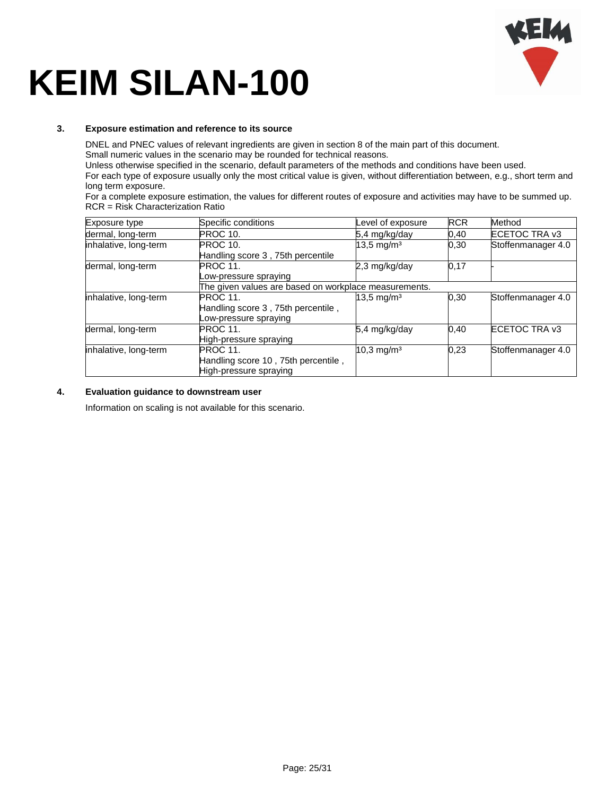

#### **3. Exposure estimation and reference to its source**

DNEL and PNEC values of relevant ingredients are given in section 8 of the main part of this document. Small numeric values in the scenario may be rounded for technical reasons.

Unless otherwise specified in the scenario, default parameters of the methods and conditions have been used.

For each type of exposure usually only the most critical value is given, without differentiation between, e.g., short term and long term exposure.

For a complete exposure estimation, the values for different routes of exposure and activities may have to be summed up. RCR = Risk Characterization Ratio

| Exposure type         | Specific conditions                                   | Level of exposure        | <b>RCR</b> | Method             |
|-----------------------|-------------------------------------------------------|--------------------------|------------|--------------------|
| dermal, long-term     | PROC 10.                                              | 5,4 mg/kg/day            | 0,40       | ECETOC TRA v3      |
| inhalative, long-term | <b>PROC 10.</b>                                       | $13,5 \,\mathrm{mg/m^3}$ | 0,30       | Stoffenmanager 4.0 |
|                       | Handling score 3, 75th percentile                     |                          |            |                    |
| dermal, long-term     | <b>PROC 11.</b>                                       | 2,3 mg/kg/day            | 0,17       |                    |
|                       | Low-pressure spraying                                 |                          |            |                    |
|                       | The given values are based on workplace measurements. |                          |            |                    |
| inhalative, long-term | <b>PROC 11.</b>                                       | $13.5 \text{ mg/m}^3$    | 0,30       | Stoffenmanager 4.0 |
|                       | Handling score 3, 75th percentile,                    |                          |            |                    |
|                       | ow-pressure spraying                                  |                          |            |                    |
| dermal, long-term     | <b>PROC 11.</b>                                       | 5,4 mg/kg/day            | 0,40       | ECETOC TRA v3      |
|                       | High-pressure spraying                                |                          |            |                    |
| inhalative, long-term | <b>PROC 11.</b>                                       | $10,3 \,\mathrm{mg/m^3}$ | 0.23       | Stoffenmanager 4.0 |
|                       | Handling score 10, 75th percentile,                   |                          |            |                    |
|                       | High-pressure spraying                                |                          |            |                    |

#### **4. Evaluation guidance to downstream user**

Information on scaling is not available for this scenario.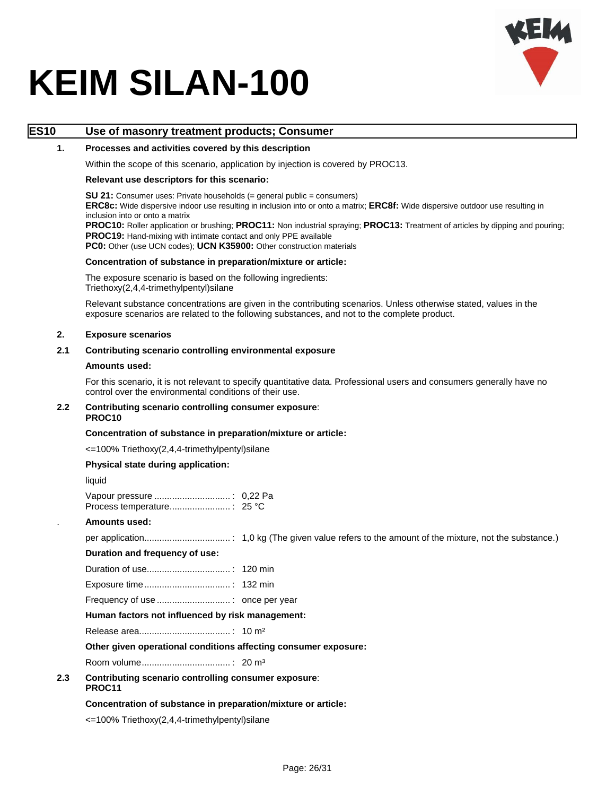

### **ES10 Use of masonry treatment products; Consumer**

#### **1. Processes and activities covered by this description**

Within the scope of this scenario, application by injection is covered by PROC13.

#### **Relevant use descriptors for this scenario:**

**SU 21:** Consumer uses: Private households (= general public = consumers) **ERC8c:** Wide dispersive indoor use resulting in inclusion into or onto a matrix; **ERC8f:** Wide dispersive outdoor use resulting in

inclusion into or onto a matrix

**PROC10:** Roller application or brushing; **PROC11:** Non industrial spraying; **PROC13:** Treatment of articles by dipping and pouring; **PROC19:** Hand-mixing with intimate contact and only PPE available

**PC0:** Other (use UCN codes); **UCN K35900:** Other construction materials

#### **Concentration of substance in preparation/mixture or article:**

The exposure scenario is based on the following ingredients: Triethoxy(2,4,4-trimethylpentyl)silane

Relevant substance concentrations are given in the contributing scenarios. Unless otherwise stated, values in the exposure scenarios are related to the following substances, and not to the complete product.

#### **2. Exposure scenarios**

#### **2.1 Contributing scenario controlling environmental exposure**

#### **Amounts used:**

For this scenario, it is not relevant to specify quantitative data. Professional users and consumers generally have no control over the environmental conditions of their use.

#### **2.2 Contributing scenario controlling consumer exposure**: **PROC10**

#### **Concentration of substance in preparation/mixture or article:**

<=100% Triethoxy(2,4,4-trimethylpentyl)silane

#### **Physical state during application:**

liquid

. **Amounts used:**

per application.................................. : 1,0 kg (The given value refers to the amount of the mixture, not the substance.)

#### **Duration and frequency of use:**

Duration of use................................. : 120 min

Exposure time.................................. : 132 min

Frequency of use ............................. : once per year

#### **Human factors not influenced by risk management:**

Release area.................................... : 10 m²

**Other given operational conditions affecting consumer exposure:**

Room volume................................... : 20 m³

#### **2.3 Contributing scenario controlling consumer exposure**: **PROC11**

#### **Concentration of substance in preparation/mixture or article:**

<=100% Triethoxy(2,4,4-trimethylpentyl)silane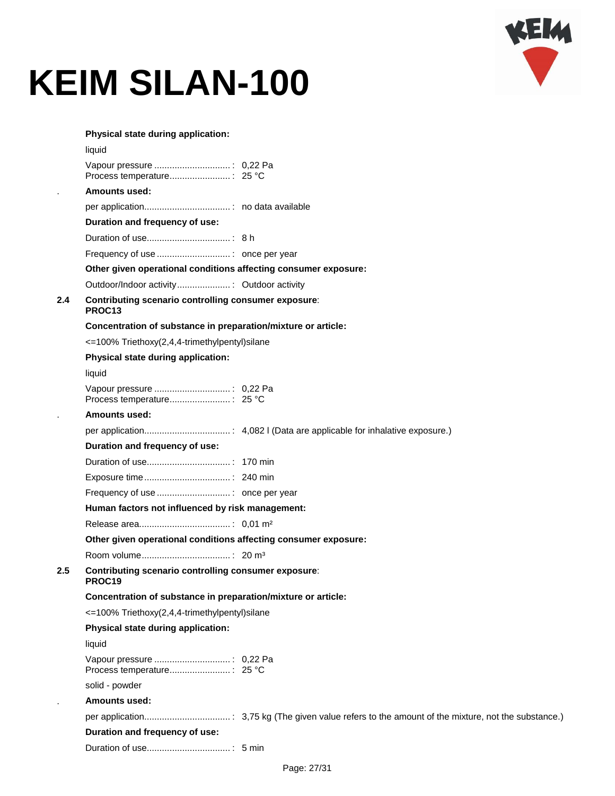

|         | Physical state during application:                                         |  |
|---------|----------------------------------------------------------------------------|--|
|         | liquid                                                                     |  |
|         |                                                                            |  |
|         | <b>Amounts used:</b>                                                       |  |
|         |                                                                            |  |
|         | Duration and frequency of use:                                             |  |
|         |                                                                            |  |
|         |                                                                            |  |
|         | Other given operational conditions affecting consumer exposure:            |  |
|         |                                                                            |  |
| 2.4     | Contributing scenario controlling consumer exposure:<br>PROC <sub>13</sub> |  |
|         | Concentration of substance in preparation/mixture or article:              |  |
|         | <=100% Triethoxy(2,4,4-trimethylpentyl)silane                              |  |
|         | Physical state during application:                                         |  |
|         | liquid                                                                     |  |
|         |                                                                            |  |
|         | <b>Amounts used:</b>                                                       |  |
|         |                                                                            |  |
|         | Duration and frequency of use:                                             |  |
|         |                                                                            |  |
|         |                                                                            |  |
|         |                                                                            |  |
|         | Human factors not influenced by risk management:                           |  |
|         |                                                                            |  |
|         | Other given operational conditions affecting consumer exposure:            |  |
|         |                                                                            |  |
| $2.5\,$ | Contributing scenario controlling consumer exposure:<br>PROC19             |  |
|         | Concentration of substance in preparation/mixture or article:              |  |
|         | <=100% Triethoxy(2,4,4-trimethylpentyl)silane                              |  |
|         | Physical state during application:                                         |  |
|         | liquid                                                                     |  |
|         |                                                                            |  |
|         | solid - powder                                                             |  |
|         | Amounts used:                                                              |  |
|         |                                                                            |  |
|         | Duration and frequency of use:                                             |  |
|         |                                                                            |  |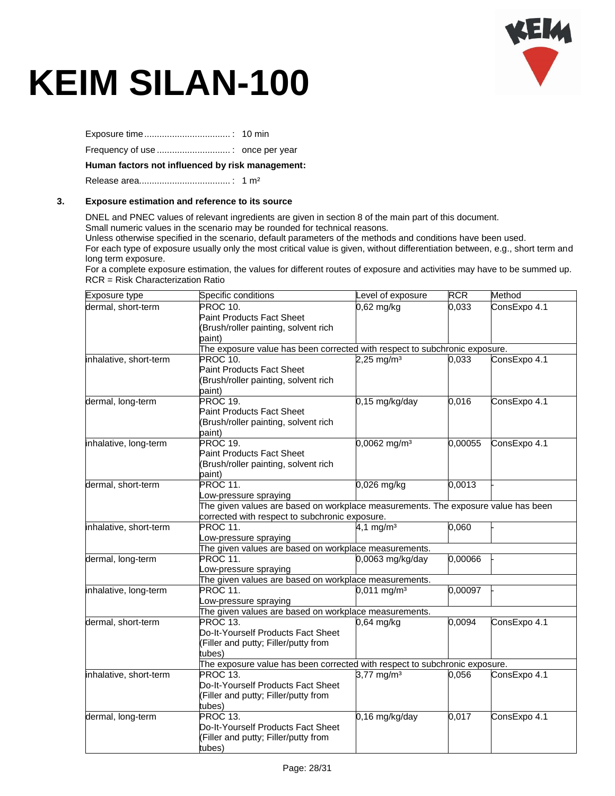

Exposure time.................................. : 10 min

Frequency of use ............................. : once per year

#### **Human factors not influenced by risk management:**

Release area.................................... : 1 m²

#### **3. Exposure estimation and reference to its source**

DNEL and PNEC values of relevant ingredients are given in section 8 of the main part of this document. Small numeric values in the scenario may be rounded for technical reasons.

Unless otherwise specified in the scenario, default parameters of the methods and conditions have been used.

For each type of exposure usually only the most critical value is given, without differentiation between, e.g., short term and long term exposure.

For a complete exposure estimation, the values for different routes of exposure and activities may have to be summed up. RCR = Risk Characterization Ratio

| Exposure type          | Specific conditions                                                               | Level of exposure          | <b>RCR</b>         | Method       |  |
|------------------------|-----------------------------------------------------------------------------------|----------------------------|--------------------|--------------|--|
| dermal, short-term     | PROC 10.                                                                          | $0,62$ mg/kg               | $\overline{0,}033$ | ConsExpo 4.1 |  |
|                        | <b>Paint Products Fact Sheet</b>                                                  |                            |                    |              |  |
|                        | (Brush/roller painting, solvent rich                                              |                            |                    |              |  |
|                        | paint)                                                                            |                            |                    |              |  |
|                        | The exposure value has been corrected with respect to subchronic exposure.        |                            |                    |              |  |
| inhalative, short-term | PROC 10.                                                                          | $2,25$ mg/m <sup>3</sup>   | 0,033              | ConsExpo 4.1 |  |
|                        | <b>Paint Products Fact Sheet</b>                                                  |                            |                    |              |  |
|                        | (Brush/roller painting, solvent rich                                              |                            |                    |              |  |
|                        | paint)                                                                            |                            |                    |              |  |
| dermal, long-term      | PROC 19.                                                                          | 0,15 mg/kg/day             | 0,016              | ConsExpo 4.1 |  |
|                        | <b>Paint Products Fact Sheet</b>                                                  |                            |                    |              |  |
|                        | (Brush/roller painting, solvent rich                                              |                            |                    |              |  |
|                        | paint)                                                                            |                            |                    |              |  |
| inhalative, long-term  | PROC 19.                                                                          | $0,0062$ mg/m <sup>3</sup> | 0,00055            | ConsExpo 4.1 |  |
|                        | <b>Paint Products Fact Sheet</b>                                                  |                            |                    |              |  |
|                        | (Brush/roller painting, solvent rich                                              |                            |                    |              |  |
|                        | paint)                                                                            |                            |                    |              |  |
| dermal, short-term     | PROC 11.                                                                          | 0,026 mg/kg                | 0,0013             |              |  |
|                        | Low-pressure spraying                                                             |                            |                    |              |  |
|                        | The given values are based on workplace measurements. The exposure value has been |                            |                    |              |  |
|                        | corrected with respect to subchronic exposure.                                    |                            |                    |              |  |
| inhalative, short-term | PROC 11.                                                                          | 4,1 mg/m <sup>3</sup>      | 0,060              |              |  |
|                        | Low-pressure spraying                                                             |                            |                    |              |  |
|                        | The given values are based on workplace measurements.                             |                            |                    |              |  |
| dermal, long-term      | PROC 11.                                                                          | 0,0063 mg/kg/day           | 0,00066            |              |  |
|                        | Low-pressure spraying                                                             |                            |                    |              |  |
|                        | The given values are based on workplace measurements.                             |                            |                    |              |  |
| inhalative, long-term  | PROC 11.                                                                          | $0,011$ mg/m <sup>3</sup>  | 0,00097            |              |  |
|                        | Low-pressure spraying                                                             |                            |                    |              |  |
|                        | The given values are based on workplace measurements.                             |                            |                    |              |  |
| dermal, short-term     | PROC 13.                                                                          | $0,64$ mg/kg               | 0,0094             | ConsExpo 4.1 |  |
|                        | Do-It-Yourself Products Fact Sheet                                                |                            |                    |              |  |
|                        | (Filler and putty; Filler/putty from                                              |                            |                    |              |  |
|                        | tubes)                                                                            |                            |                    |              |  |
|                        | The exposure value has been corrected with respect to subchronic exposure.        |                            |                    |              |  |
| inhalative, short-term | PROC 13.                                                                          | 3,77 mg/m <sup>3</sup>     | 0,056              | ConsExpo 4.1 |  |
|                        | Do-It-Yourself Products Fact Sheet                                                |                            |                    |              |  |
|                        | (Filler and putty; Filler/putty from                                              |                            |                    |              |  |
|                        | tubes)                                                                            |                            |                    |              |  |
| dermal, long-term      | PROC 13.                                                                          | 0,16 mg/kg/day             | 0,017              | ConsExpo 4.1 |  |
|                        | Do-It-Yourself Products Fact Sheet                                                |                            |                    |              |  |
|                        | (Filler and putty; Filler/putty from                                              |                            |                    |              |  |
|                        | tubes)                                                                            |                            |                    |              |  |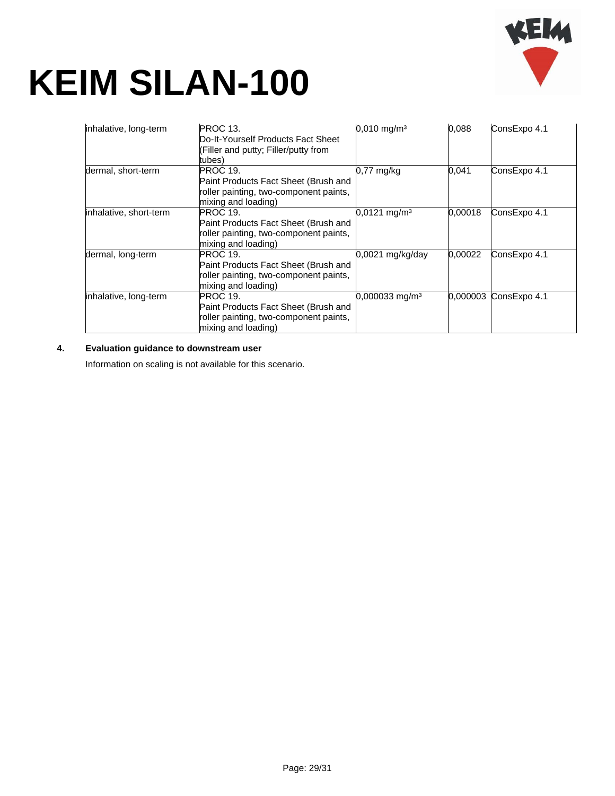

| inhalative, long-term  | <b>PROC 13.</b><br>Do-It-Yourself Products Fact Sheet<br>(Filler and putty; Filler/putty from<br>tubes)                  | $0,010 \text{ mg/m}^3$       | 0.088    | ConsExpo 4.1 |
|------------------------|--------------------------------------------------------------------------------------------------------------------------|------------------------------|----------|--------------|
| dermal, short-term     | <b>PROC 19.</b><br>Paint Products Fact Sheet (Brush and<br>roller painting, two-component paints,<br>mixing and loading) | $0,77$ mg/kg                 | 0,041    | ConsExpo 4.1 |
| inhalative, short-term | <b>PROC 19.</b><br>Paint Products Fact Sheet (Brush and<br>roller painting, two-component paints,<br>mixing and loading) | $0.0121$ mg/m <sup>3</sup>   | 0.00018  | ConsExpo 4.1 |
| dermal, long-term      | PROC 19.<br>Paint Products Fact Sheet (Brush and<br>roller painting, two-component paints,<br>mixing and loading)        | 0,0021 mg/kg/day             | 0,00022  | ConsExpo 4.1 |
| inhalative, long-term  | <b>PROC 19.</b><br>Paint Products Fact Sheet (Brush and<br>roller painting, two-component paints,<br>mixing and loading) | $0,000033$ mg/m <sup>3</sup> | 0.000003 | ConsExpo 4.1 |

### **4. Evaluation guidance to downstream user**

Information on scaling is not available for this scenario.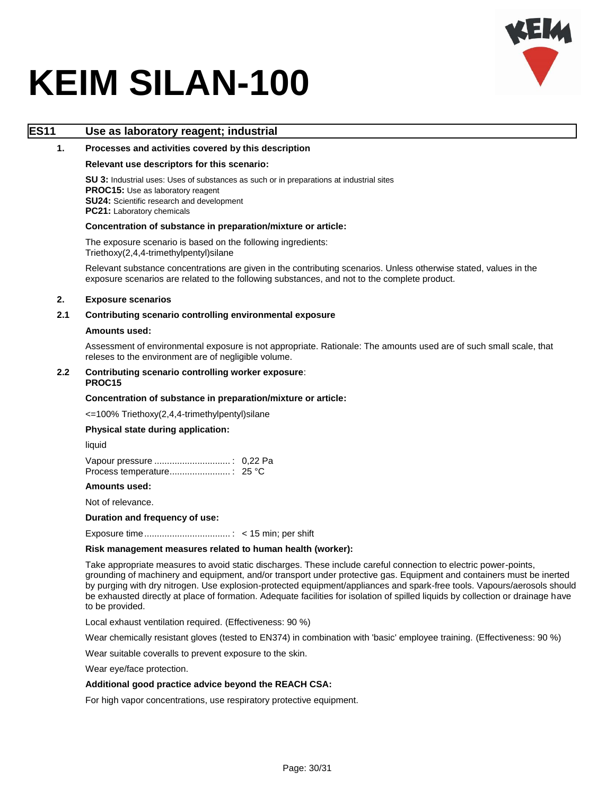

### **ES11 Use as laboratory reagent; industrial**

#### **1. Processes and activities covered by this description**

#### **Relevant use descriptors for this scenario:**

**SU 3:** Industrial uses: Uses of substances as such or in preparations at industrial sites **PROC15:** Use as laboratory reagent **SU24:** Scientific research and development **PC21:** Laboratory chemicals

#### **Concentration of substance in preparation/mixture or article:**

The exposure scenario is based on the following ingredients: Triethoxy(2,4,4-trimethylpentyl)silane

Relevant substance concentrations are given in the contributing scenarios. Unless otherwise stated, values in the exposure scenarios are related to the following substances, and not to the complete product.

#### **2. Exposure scenarios**

#### **2.1 Contributing scenario controlling environmental exposure**

#### **Amounts used:**

Assessment of environmental exposure is not appropriate. Rationale: The amounts used are of such small scale, that releses to the environment are of negligible volume.

#### **2.2 Contributing scenario controlling worker exposure**: **PROC15**

#### **Concentration of substance in preparation/mixture or article:**

<=100% Triethoxy(2,4,4-trimethylpentyl)silane

#### **Physical state during application:**

liquid

#### **Amounts used:**

Not of relevance.

#### **Duration and frequency of use:**

Exposure time.................................. : < 15 min; per shift

#### **Risk management measures related to human health (worker):**

Take appropriate measures to avoid static discharges. These include careful connection to electric power-points, grounding of machinery and equipment, and/or transport under protective gas. Equipment and containers must be inerted by purging with dry nitrogen. Use explosion-protected equipment/appliances and spark-free tools. Vapours/aerosols should be exhausted directly at place of formation. Adequate facilities for isolation of spilled liquids by collection or drainage have to be provided.

Local exhaust ventilation required. (Effectiveness: 90 %)

Wear chemically resistant gloves (tested to EN374) in combination with 'basic' employee training. (Effectiveness: 90 %)

Wear suitable coveralls to prevent exposure to the skin.

Wear eye/face protection.

#### **Additional good practice advice beyond the REACH CSA:**

For high vapor concentrations, use respiratory protective equipment.